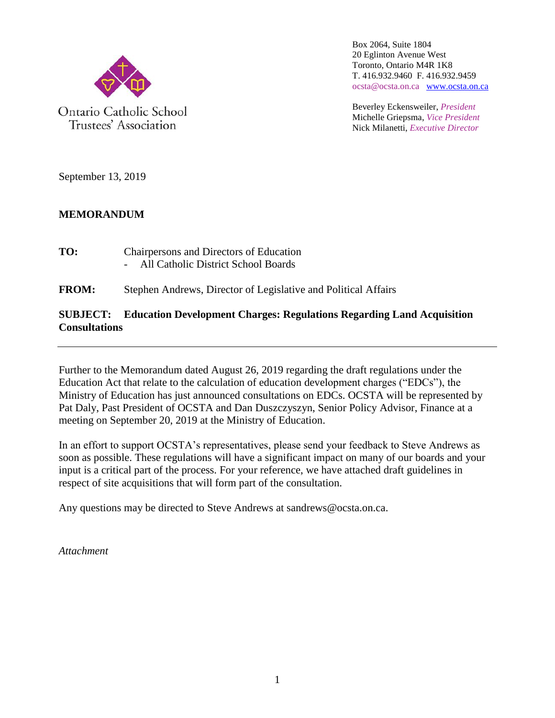

Trustees' Association

Box 2064, Suite 1804 20 Eglinton Avenue West Toronto, Ontario M4R 1K8 T. 416.932.9460 F. 416.932.9459 ocsta@ocsta.on.ca [www.ocsta.on.ca](http://www.ocsta.on.ca/)

Beverley Eckensweiler, *President* Michelle Griepsma, *Vice President* Nick Milanetti, *Executive Director*

September 13, 2019

#### **MEMORANDUM**

**TO:** Chairpersons and Directors of Education - All Catholic District School Boards

#### **FROM:** Stephen Andrews, Director of Legislative and Political Affairs

#### **SUBJECT: Education Development Charges: Regulations Regarding Land Acquisition Consultations**

Further to the Memorandum dated August 26, 2019 regarding the draft regulations under the Education Act that relate to the calculation of education development charges ("EDCs"), the Ministry of Education has just announced consultations on EDCs. OCSTA will be represented by Pat Daly, Past President of OCSTA and Dan Duszczyszyn, Senior Policy Advisor, Finance at a meeting on September 20, 2019 at the Ministry of Education.

In an effort to support OCSTA's representatives, please send your feedback to Steve Andrews as soon as possible. These regulations will have a significant impact on many of our boards and your input is a critical part of the process. For your reference, we have attached draft guidelines in respect of site acquisitions that will form part of the consultation.

Any questions may be directed to Steve Andrews at [sandrews@ocsta.on.ca.](mailto:sandrews@ocsta.on.ca)

*Attachment*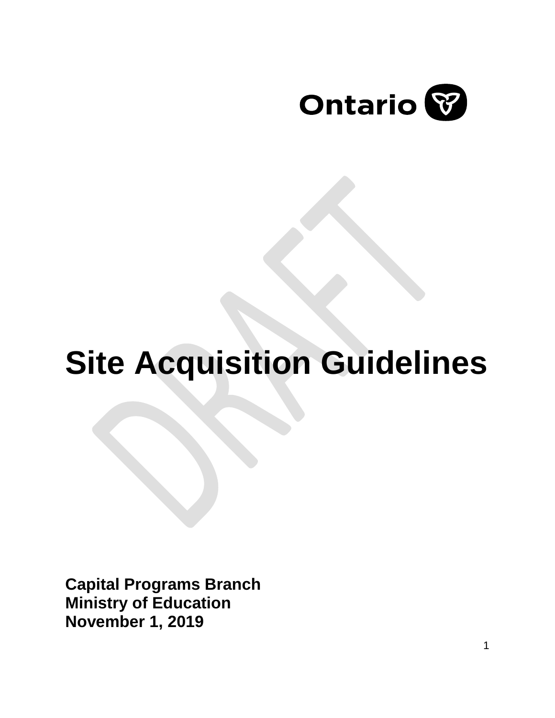

# **Site Acquisition Guidelines**

**Capital Programs Branch Ministry of Education November 1, 2019**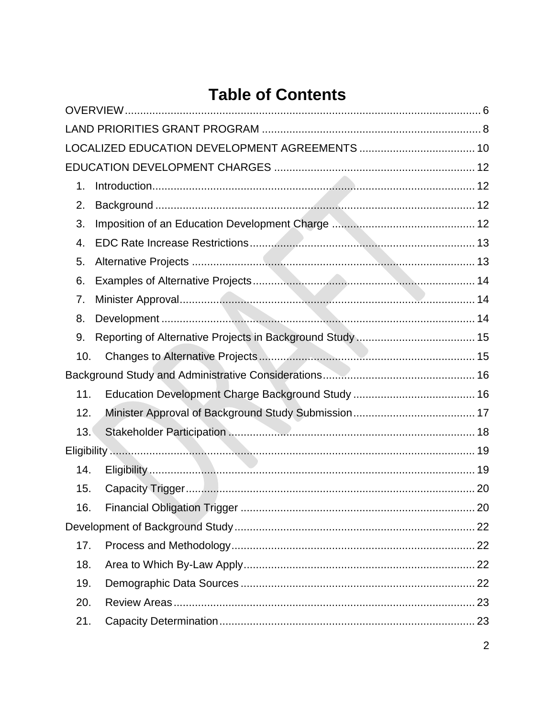|     | Table of Contents |  |
|-----|-------------------|--|
|     |                   |  |
|     |                   |  |
|     |                   |  |
|     |                   |  |
| 1.  |                   |  |
| 2.  |                   |  |
| 3.  |                   |  |
| 4.  |                   |  |
| 5.  |                   |  |
| 6.  |                   |  |
| 7.  |                   |  |
| 8.  |                   |  |
| 9.  |                   |  |
| 10. |                   |  |
|     |                   |  |
| 11. |                   |  |
| 12. |                   |  |
| 13. |                   |  |
|     |                   |  |
| 14. |                   |  |
| 15. |                   |  |
| 16. |                   |  |
|     |                   |  |
| 17. |                   |  |
| 18. |                   |  |
| 19. |                   |  |
| 20. |                   |  |
| 21. |                   |  |

#### LТ.  $\ddot{\bullet}$  $\overline{\mathbf{A}}$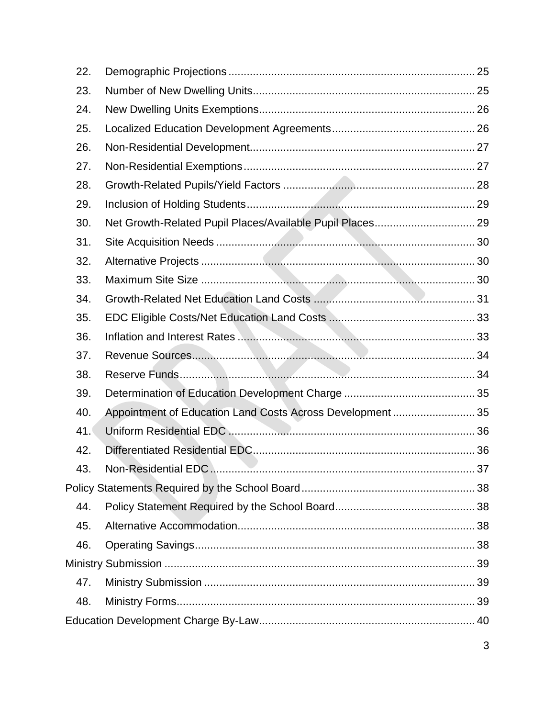| 22. |                                                           |  |
|-----|-----------------------------------------------------------|--|
| 23. |                                                           |  |
| 24. |                                                           |  |
| 25. |                                                           |  |
| 26. |                                                           |  |
| 27. |                                                           |  |
| 28. |                                                           |  |
| 29. |                                                           |  |
| 30. |                                                           |  |
| 31. |                                                           |  |
| 32. |                                                           |  |
| 33. |                                                           |  |
| 34. |                                                           |  |
| 35. |                                                           |  |
| 36. |                                                           |  |
| 37. |                                                           |  |
| 38. |                                                           |  |
| 39. |                                                           |  |
| 40. | Appointment of Education Land Costs Across Development 35 |  |
| 41. |                                                           |  |
| 42. |                                                           |  |
| 43. |                                                           |  |
|     |                                                           |  |
| 44. |                                                           |  |
| 45. |                                                           |  |
| 46. |                                                           |  |
|     |                                                           |  |
| 47. |                                                           |  |
| 48. |                                                           |  |
|     |                                                           |  |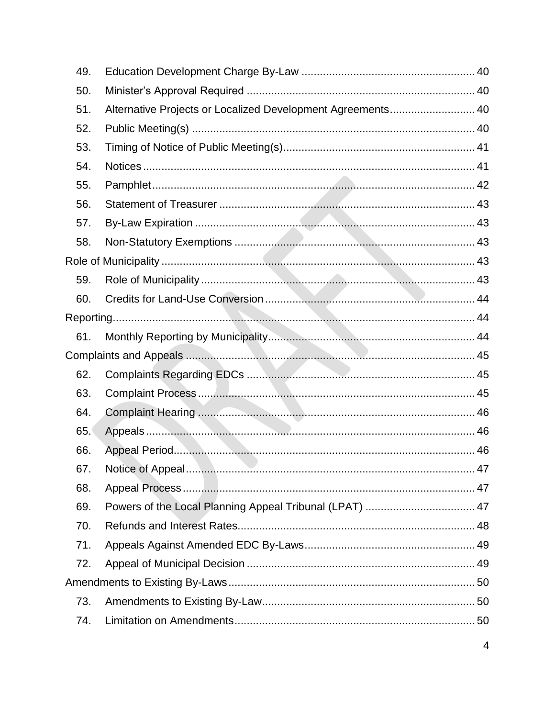| Alternative Projects or Localized Development Agreements 40<br>Powers of the Local Planning Appeal Tribunal (LPAT)  47 |
|------------------------------------------------------------------------------------------------------------------------|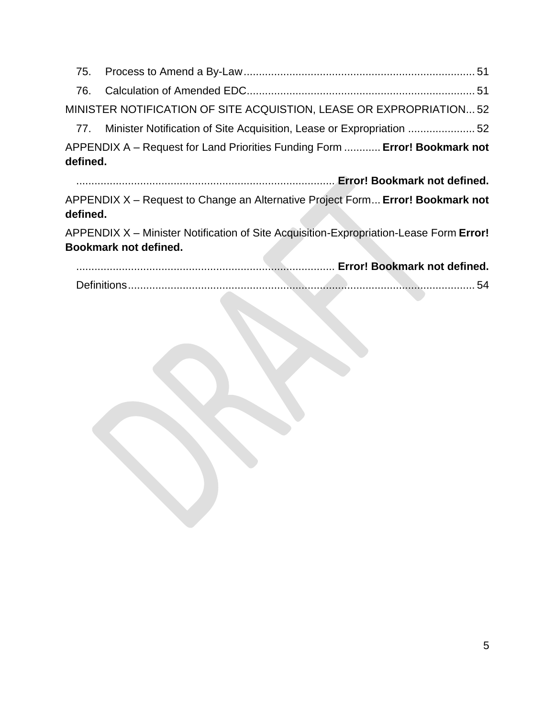75. [Process to Amend a By-Law............................................................................](#page-51-0) 51 76. [Calculation of Amended EDC...........................................................................](#page-51-1) 51 [MINISTER NOTIFICATION OF SITE ACQUISTION, LEASE OR EXPROPRIATION...](#page-52-0) 52 77. [Minister Notification of Site Acquisition, Lease or Expropriation](#page-52-1) ...................... 52

APPENDIX A – Request for Land Priorities Funding Form ............ **Error! Bookmark not defined.**

..................................................................................... **Error! Bookmark not defined.** APPENDIX X – Request to Change an Alternative Project Form... **Error! Bookmark not defined.**

APPENDIX X – Minister Notification of Site Acquisition-Expropriation-Lease Form **Error! Bookmark not defined.**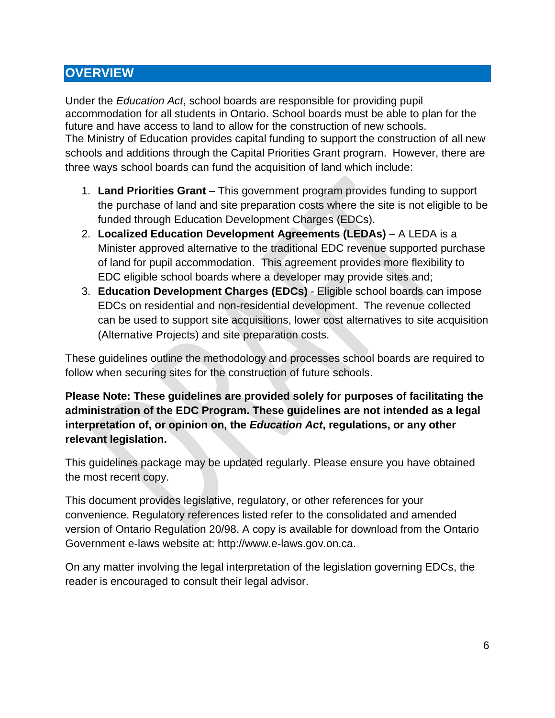# <span id="page-6-0"></span>**OVERVIEW**

Under the *Education Act*, school boards are responsible for providing pupil accommodation for all students in Ontario. School boards must be able to plan for the future and have access to land to allow for the construction of new schools. The Ministry of Education provides capital funding to support the construction of all new schools and additions through the Capital Priorities Grant program. However, there are three ways school boards can fund the acquisition of land which include:

- 1. **Land Priorities Grant** This government program provides funding to support the purchase of land and site preparation costs where the site is not eligible to be funded through Education Development Charges (EDCs).
- 2. **Localized Education Development Agreements (LEDAs)**  A LEDA is a Minister approved alternative to the traditional EDC revenue supported purchase of land for pupil accommodation. This agreement provides more flexibility to EDC eligible school boards where a developer may provide sites and;
- 3. **Education Development Charges (EDCs)** Eligible school boards can impose EDCs on residential and non-residential development. The revenue collected can be used to support site acquisitions, lower cost alternatives to site acquisition (Alternative Projects) and site preparation costs.

These guidelines outline the methodology and processes school boards are required to follow when securing sites for the construction of future schools.

**Please Note: These guidelines are provided solely for purposes of facilitating the administration of the EDC Program. These guidelines are not intended as a legal interpretation of, or opinion on, the** *Education Act***, regulations, or any other relevant legislation.** 

This guidelines package may be updated regularly. Please ensure you have obtained the most recent copy.

This document provides legislative, regulatory, or other references for your convenience. Regulatory references listed refer to the consolidated and amended version of Ontario Regulation 20/98. A copy is available for download from the Ontario Government e-laws website at: [http://www.e-laws.gov.on.ca.](http://www.e-laws.gov.on.ca/)

On any matter involving the legal interpretation of the legislation governing EDCs, the reader is encouraged to consult their legal advisor.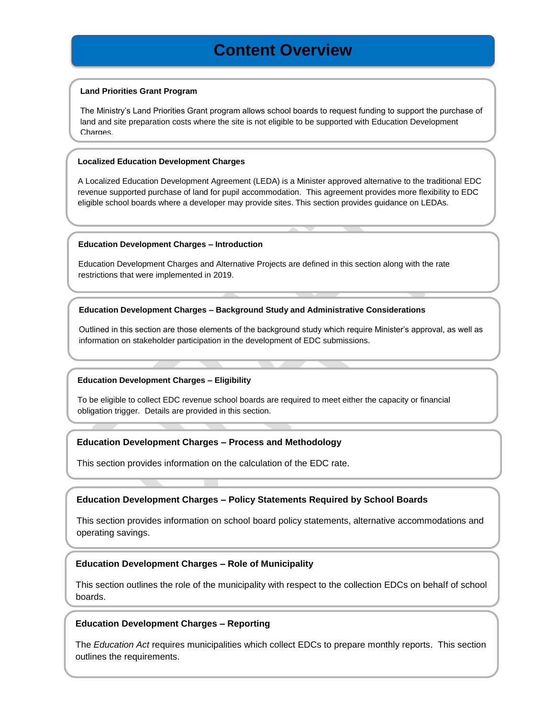# **Content Overview**

#### **Land Priorities Grant Program**

The Ministry's Land Priorities Grant program allows school boards to request funding to support the purchase of land and site preparation costs where the site is not eligible to be supported with Education Development Charges

#### **Localized Education Development Charges**

A Localized Education Development Agreement (LEDA) is a Minister approved alternative to the traditional EDC revenue supported purchase of land for pupil accommodation. This agreement provides more flexibility to EDC eligible school boards where a developer may provide sites. This section provides guidance on LEDAs.

#### **Education Development Charges – Introduction**

Education Development Charges and Alternative Projects are defined in this section along with the rate restrictions that were implemented in 2019.

#### **Education Development Charges – Background Study and Administrative Considerations**

Outlined in this section are those elements of the background study which require Minister's approval, as well as information on stakeholder participation in the development of EDC submissions.

#### **Education Development Charges – Eligibility**

To be eligible to collect EDC revenue school boards are required to meet either the capacity or financial obligation trigger. Details are provided in this section.

#### **Education Development Charges – Process and Methodology**

This section provides information on the calculation of the EDC rate.

#### **Education Development Charges – Policy Statements Required by School Boards**

This section provides information on school board policy statements, alternative accommodations and operating savings.

#### **Education Development Charges – Role of Municipality**

This section outlines the role of the municipality with respect to the collection EDCs on behalf of school boards.

#### **Education Development Charges – Reporting**

7 The *Education Act* requires municipalities which collect EDCs to prepare monthly reports. This section outlines the requirements.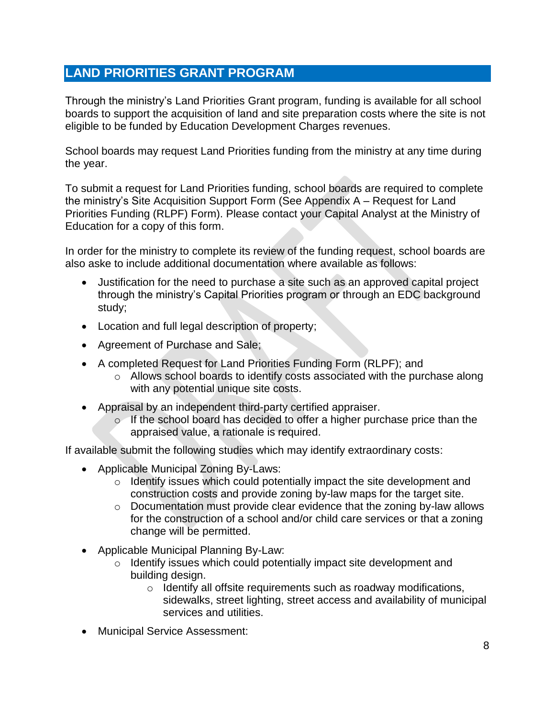# <span id="page-8-0"></span>**LAND PRIORITIES GRANT PROGRAM**

Through the ministry's Land Priorities Grant program, funding is available for all school boards to support the acquisition of land and site preparation costs where the site is not eligible to be funded by Education Development Charges revenues.

School boards may request Land Priorities funding from the ministry at any time during the year.

To submit a request for Land Priorities funding, school boards are required to complete the ministry's Site Acquisition Support Form (See Appendix A – Request for Land Priorities Funding (RLPF) Form). Please contact your Capital Analyst at the Ministry of Education for a copy of this form.

In order for the ministry to complete its review of the funding request, school boards are also aske to include additional documentation where available as follows:

- Justification for the need to purchase a site such as an approved capital project through the ministry's Capital Priorities program or through an EDC background study;
- Location and full legal description of property;
- Agreement of Purchase and Sale;
- A completed Request for Land Priorities Funding Form (RLPF); and
	- $\circ$  Allows school boards to identify costs associated with the purchase along with any potential unique site costs.
- Appraisal by an independent third-party certified appraiser.
	- o If the school board has decided to offer a higher purchase price than the appraised value, a rationale is required.

If available submit the following studies which may identify extraordinary costs:

- Applicable Municipal Zoning By-Laws:
	- o Identify issues which could potentially impact the site development and construction costs and provide zoning by-law maps for the target site.
	- o Documentation must provide clear evidence that the zoning by-law allows for the construction of a school and/or child care services or that a zoning change will be permitted.
- Applicable Municipal Planning By-Law:
	- o Identify issues which could potentially impact site development and building design.
		- o Identify all offsite requirements such as roadway modifications, sidewalks, street lighting, street access and availability of municipal services and utilities.
- Municipal Service Assessment: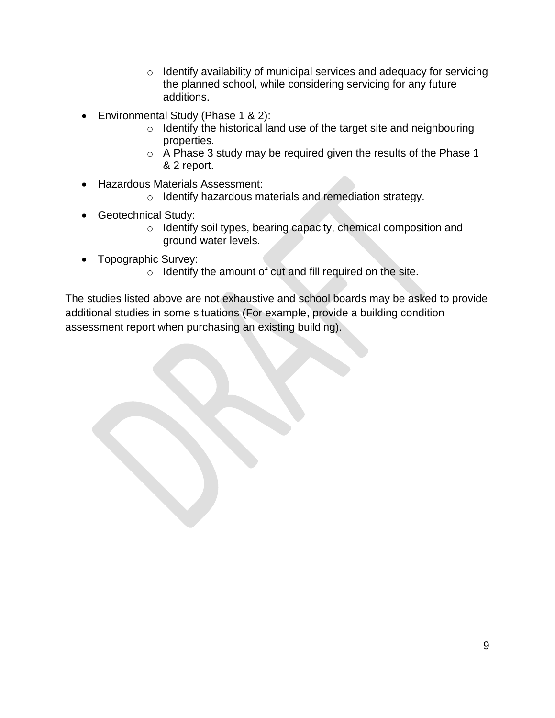- o Identify availability of municipal services and adequacy for servicing the planned school, while considering servicing for any future additions.
- Environmental Study (Phase 1 & 2):
	- o Identify the historical land use of the target site and neighbouring properties.
	- o A Phase 3 study may be required given the results of the Phase 1 & 2 report.
- Hazardous Materials Assessment:
	- o Identify hazardous materials and remediation strategy.
- Geotechnical Study:
	- o Identify soil types, bearing capacity, chemical composition and ground water levels.
- Topographic Survey:
	- o Identify the amount of cut and fill required on the site.

The studies listed above are not exhaustive and school boards may be asked to provide additional studies in some situations (For example, provide a building condition assessment report when purchasing an existing building).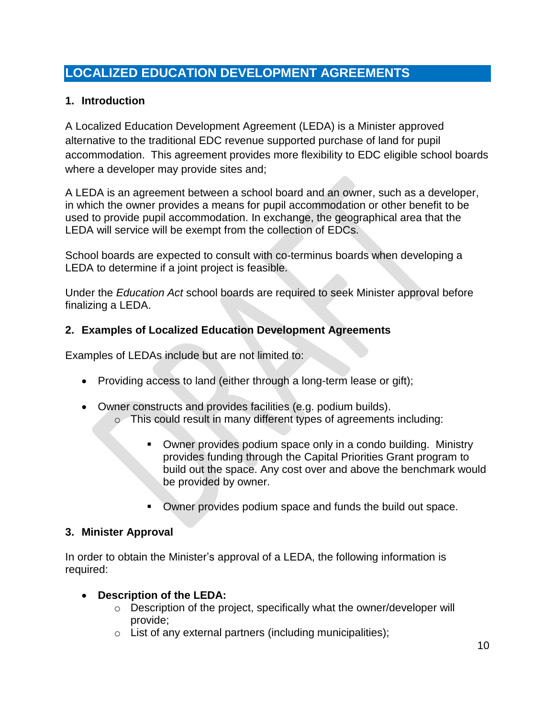# <span id="page-10-0"></span>**LOCALIZED EDUCATION DEVELOPMENT AGREEMENTS**

## **1. Introduction**

A Localized Education Development Agreement (LEDA) is a Minister approved alternative to the traditional EDC revenue supported purchase of land for pupil accommodation. This agreement provides more flexibility to EDC eligible school boards where a developer may provide sites and;

A LEDA is an agreement between a school board and an owner, such as a developer, in which the owner provides a means for pupil accommodation or other benefit to be used to provide pupil accommodation. In exchange, the geographical area that the LEDA will service will be exempt from the collection of EDCs.

School boards are expected to consult with co-terminus boards when developing a LEDA to determine if a joint project is feasible.

Under the *Education Act* school boards are required to seek Minister approval before finalizing a LEDA.

### **2. Examples of Localized Education Development Agreements**

Examples of LEDAs include but are not limited to:

- Providing access to land (either through a long-term lease or gift);
- Owner constructs and provides facilities (e.g. podium builds). o This could result in many different types of agreements including:
	- Owner provides podium space only in a condo building. Ministry provides funding through the Capital Priorities Grant program to build out the space. Any cost over and above the benchmark would be provided by owner.
	- Owner provides podium space and funds the build out space.

### **3. Minister Approval**

In order to obtain the Minister's approval of a LEDA, the following information is required:

### • **Description of the LEDA:**

- o Description of the project, specifically what the owner/developer will provide;
- $\circ$  List of any external partners (including municipalities);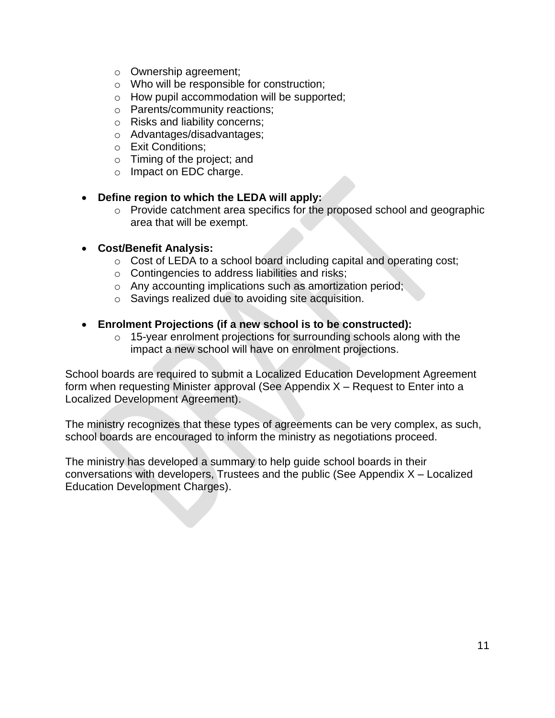- o Ownership agreement;
- o Who will be responsible for construction;
- o How pupil accommodation will be supported;
- o Parents/community reactions;
- o Risks and liability concerns;
- o Advantages/disadvantages;
- o Exit Conditions;
- o Timing of the project; and
- o Impact on EDC charge.

#### • **Define region to which the LEDA will apply:**

o Provide catchment area specifics for the proposed school and geographic area that will be exempt.

#### • **Cost/Benefit Analysis:**

- $\circ$  Cost of LEDA to a school board including capital and operating cost;
- o Contingencies to address liabilities and risks;
- o Any accounting implications such as amortization period;
- o Savings realized due to avoiding site acquisition.

#### • **Enrolment Projections (if a new school is to be constructed):**

 $\circ$  15-year enrolment projections for surrounding schools along with the impact a new school will have on enrolment projections.

School boards are required to submit a Localized Education Development Agreement form when requesting Minister approval (See Appendix X – Request to Enter into a Localized Development Agreement).

The ministry recognizes that these types of agreements can be very complex, as such, school boards are encouraged to inform the ministry as negotiations proceed.

The ministry has developed a summary to help guide school boards in their conversations with developers, Trustees and the public (See Appendix X – Localized Education Development Charges).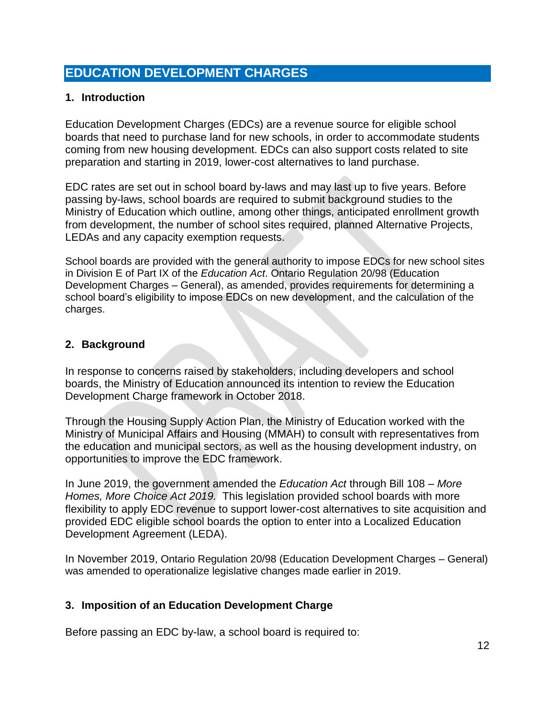# <span id="page-12-0"></span>**EDUCATION DEVELOPMENT CHARGES**

#### <span id="page-12-1"></span>**1. Introduction**

Education Development Charges (EDCs) are a revenue source for eligible school boards that need to purchase land for new schools, in order to accommodate students coming from new housing development. EDCs can also support costs related to site preparation and starting in 2019, lower-cost alternatives to land purchase.

EDC rates are set out in school board by-laws and may last up to five years. Before passing by-laws, school boards are required to submit background studies to the Ministry of Education which outline, among other things, anticipated enrollment growth from development, the number of school sites required, planned Alternative Projects, LEDAs and any capacity exemption requests.

School boards are provided with the general authority to impose EDCs for new school sites in Division E of Part IX of the *Education Act*. Ontario Regulation 20/98 (Education Development Charges – General), as amended, provides requirements for determining a school board's eligibility to impose EDCs on new development, and the calculation of the charges.

#### <span id="page-12-2"></span>**2. Background**

In response to concerns raised by stakeholders, including developers and school boards, the Ministry of Education announced its intention to review the Education Development Charge framework in October 2018.

Through the Housing Supply Action Plan, the Ministry of Education worked with the Ministry of Municipal Affairs and Housing (MMAH) to consult with representatives from the education and municipal sectors, as well as the housing development industry, on opportunities to improve the EDC framework.

In June 2019, the government amended the *Education Act* through Bill 108 – *More Homes, More Choice Act 2019.* This legislation provided school boards with more flexibility to apply EDC revenue to support lower-cost alternatives to site acquisition and provided EDC eligible school boards the option to enter into a Localized Education Development Agreement (LEDA).

In November 2019, Ontario Regulation 20/98 (Education Development Charges – General) was amended to operationalize legislative changes made earlier in 2019.

#### <span id="page-12-3"></span>**3. Imposition of an Education Development Charge**

Before passing an EDC by-law, a school board is required to: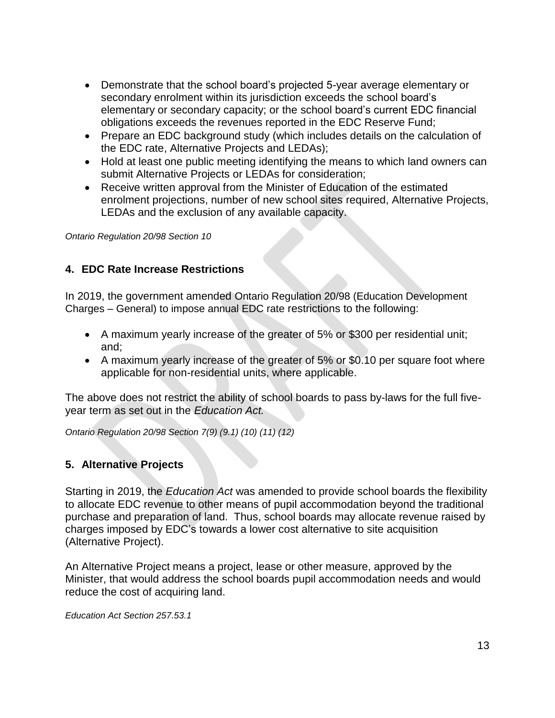- Demonstrate that the school board's projected 5-year average elementary or secondary enrolment within its jurisdiction exceeds the school board's elementary or secondary capacity; or the school board's current EDC financial obligations exceeds the revenues reported in the EDC Reserve Fund;
- Prepare an EDC background study (which includes details on the calculation of the EDC rate, Alternative Projects and LEDAs);
- Hold at least one public meeting identifying the means to which land owners can submit Alternative Projects or LEDAs for consideration;
- Receive written approval from the Minister of Education of the estimated enrolment projections, number of new school sites required, Alternative Projects, LEDAs and the exclusion of any available capacity.

*Ontario Regulation 20/98 Section 10* 

#### <span id="page-13-0"></span>**4. EDC Rate Increase Restrictions**

In 2019, the government amended Ontario Regulation 20/98 (Education Development Charges – General) to impose annual EDC rate restrictions to the following:

- A maximum yearly increase of the greater of 5% or \$300 per residential unit; and;
- A maximum yearly increase of the greater of 5% or \$0.10 per square foot where applicable for non-residential units, where applicable.

The above does not restrict the ability of school boards to pass by-laws for the full fiveyear term as set out in the *Education Act.*

*Ontario Regulation 20/98 Section 7(9) (9.1) (10) (11) (12)*

#### <span id="page-13-1"></span>**5. Alternative Projects**

Starting in 2019, the *Education Act* was amended to provide school boards the flexibility to allocate EDC revenue to other means of pupil accommodation beyond the traditional purchase and preparation of land. Thus, school boards may allocate revenue raised by charges imposed by EDC's towards a lower cost alternative to site acquisition (Alternative Project).

An Alternative Project means a project, lease or other measure, approved by the Minister, that would address the school boards pupil accommodation needs and would reduce the cost of acquiring land.

*Education Act Section 257.53.1*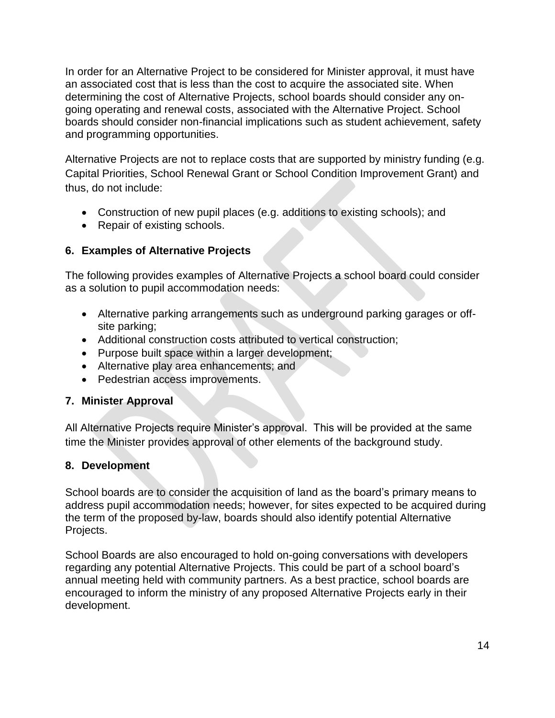In order for an Alternative Project to be considered for Minister approval, it must have an associated cost that is less than the cost to acquire the associated site. When determining the cost of Alternative Projects, school boards should consider any ongoing operating and renewal costs, associated with the Alternative Project. School boards should consider non-financial implications such as student achievement, safety and programming opportunities.

Alternative Projects are not to replace costs that are supported by ministry funding (e.g. Capital Priorities, School Renewal Grant or School Condition Improvement Grant) and thus, do not include:

- Construction of new pupil places (e.g. additions to existing schools); and
- Repair of existing schools.

# <span id="page-14-0"></span>**6. Examples of Alternative Projects**

The following provides examples of Alternative Projects a school board could consider as a solution to pupil accommodation needs:

- Alternative parking arrangements such as underground parking garages or offsite parking;
- Additional construction costs attributed to vertical construction;
- Purpose built space within a larger development;
- Alternative play area enhancements; and
- Pedestrian access improvements.

### <span id="page-14-1"></span>**7. Minister Approval**

All Alternative Projects require Minister's approval. This will be provided at the same time the Minister provides approval of other elements of the background study.

### <span id="page-14-2"></span>**8. Development**

School boards are to consider the acquisition of land as the board's primary means to address pupil accommodation needs; however, for sites expected to be acquired during the term of the proposed by-law, boards should also identify potential Alternative Projects.

School Boards are also encouraged to hold on-going conversations with developers regarding any potential Alternative Projects. This could be part of a school board's annual meeting held with community partners. As a best practice, school boards are encouraged to inform the ministry of any proposed Alternative Projects early in their development.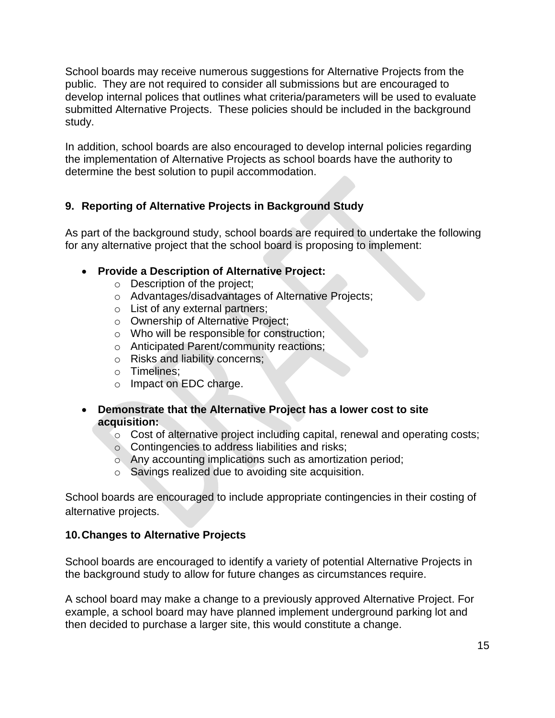School boards may receive numerous suggestions for Alternative Projects from the public. They are not required to consider all submissions but are encouraged to develop internal polices that outlines what criteria/parameters will be used to evaluate submitted Alternative Projects. These policies should be included in the background study.

In addition, school boards are also encouraged to develop internal policies regarding the implementation of Alternative Projects as school boards have the authority to determine the best solution to pupil accommodation.

# <span id="page-15-0"></span>**9. Reporting of Alternative Projects in Background Study**

As part of the background study, school boards are required to undertake the following for any alternative project that the school board is proposing to implement:

- **Provide a Description of Alternative Project:**
	- o Description of the project;
	- o Advantages/disadvantages of Alternative Projects;
	- o List of any external partners;
	- o Ownership of Alternative Project;
	- o Who will be responsible for construction;
	- o Anticipated Parent/community reactions;
	- o Risks and liability concerns;
	- o Timelines;
	- o Impact on EDC charge.
- **Demonstrate that the Alternative Project has a lower cost to site acquisition:**
	- o Cost of alternative project including capital, renewal and operating costs;
	- o Contingencies to address liabilities and risks;
	- o Any accounting implications such as amortization period;
	- o Savings realized due to avoiding site acquisition.

School boards are encouraged to include appropriate contingencies in their costing of alternative projects.

### <span id="page-15-1"></span>**10.Changes to Alternative Projects**

School boards are encouraged to identify a variety of potential Alternative Projects in the background study to allow for future changes as circumstances require.

A school board may make a change to a previously approved Alternative Project. For example, a school board may have planned implement underground parking lot and then decided to purchase a larger site, this would constitute a change.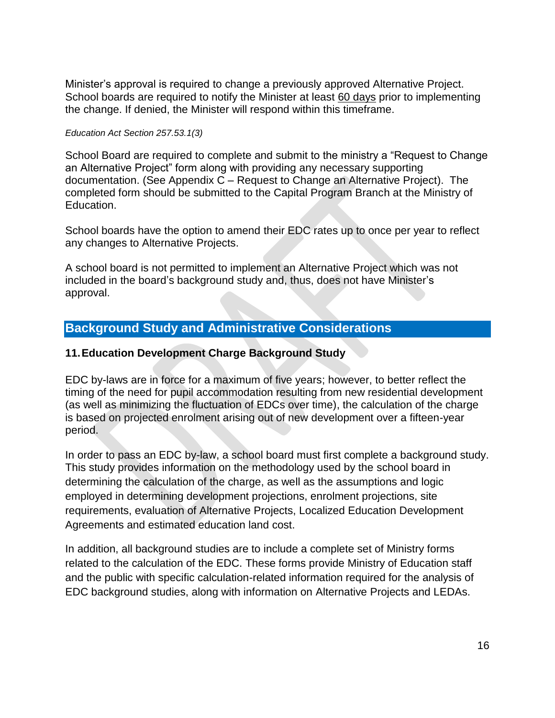Minister's approval is required to change a previously approved Alternative Project. School boards are required to notify the Minister at least 60 days prior to implementing the change. If denied, the Minister will respond within this timeframe.

#### *Education Act Section 257.53.1(3)*

School Board are required to complete and submit to the ministry a "Request to Change an Alternative Project" form along with providing any necessary supporting documentation. (See Appendix C – Request to Change an Alternative Project). The completed form should be submitted to the Capital Program Branch at the Ministry of Education.

School boards have the option to amend their EDC rates up to once per year to reflect any changes to Alternative Projects.

A school board is not permitted to implement an Alternative Project which was not included in the board's background study and, thus, does not have Minister's approval.

# <span id="page-16-0"></span>**Background Study and Administrative Considerations**

#### <span id="page-16-1"></span>**11.Education Development Charge Background Study**

EDC by-laws are in force for a maximum of five years; however, to better reflect the timing of the need for pupil accommodation resulting from new residential development (as well as minimizing the fluctuation of EDCs over time), the calculation of the charge is based on projected enrolment arising out of new development over a fifteen-year period.

In order to pass an EDC by-law, a school board must first complete a background study. This study provides information on the methodology used by the school board in determining the calculation of the charge, as well as the assumptions and logic employed in determining development projections, enrolment projections, site requirements, evaluation of Alternative Projects, Localized Education Development Agreements and estimated education land cost.

In addition, all background studies are to include a complete set of Ministry forms related to the calculation of the EDC. These forms provide Ministry of Education staff and the public with specific calculation-related information required for the analysis of EDC background studies, along with information on Alternative Projects and LEDAs.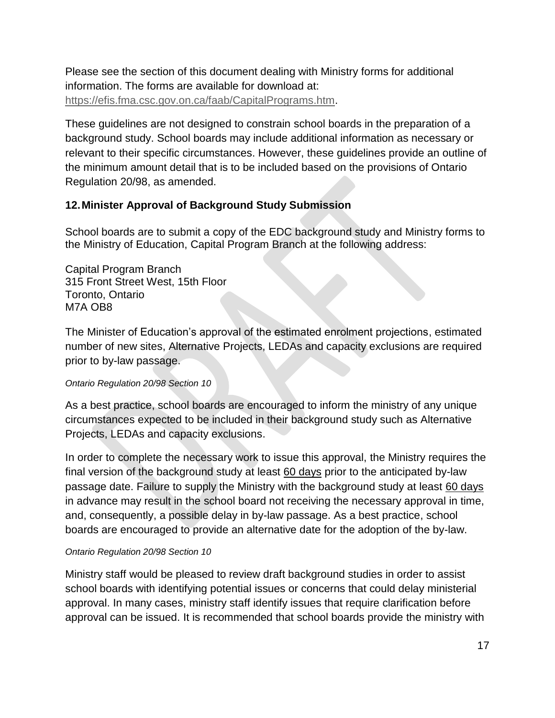Please see the section of this document dealing with Ministry forms for additional information. The forms are available for download at: [https://efis.fma.csc.gov.on.ca/faab/CapitalPrograms.htm.](https://efis.fma.csc.gov.on.ca/faab/CapitalPrograms.htm)

These guidelines are not designed to constrain school boards in the preparation of a background study. School boards may include additional information as necessary or relevant to their specific circumstances. However, these guidelines provide an outline of the minimum amount detail that is to be included based on the provisions of Ontario Regulation 20/98, as amended.

## <span id="page-17-0"></span>**12.Minister Approval of Background Study Submission**

School boards are to submit a copy of the EDC background study and Ministry forms to the Ministry of Education, Capital Program Branch at the following address:

Capital Program Branch 315 Front Street West, 15th Floor Toronto, Ontario M7A OB8

The Minister of Education's approval of the estimated enrolment projections, estimated number of new sites, Alternative Projects, LEDAs and capacity exclusions are required prior to by-law passage.

#### *Ontario Regulation 20/98 Section 10*

As a best practice, school boards are encouraged to inform the ministry of any unique circumstances expected to be included in their background study such as Alternative Projects, LEDAs and capacity exclusions.

In order to complete the necessary work to issue this approval, the Ministry requires the final version of the background study at least 60 days prior to the anticipated by-law passage date. Failure to supply the Ministry with the background study at least 60 days in advance may result in the school board not receiving the necessary approval in time, and, consequently, a possible delay in by-law passage. As a best practice, school boards are encouraged to provide an alternative date for the adoption of the by-law.

#### *Ontario Regulation 20/98 Section 10*

Ministry staff would be pleased to review draft background studies in order to assist school boards with identifying potential issues or concerns that could delay ministerial approval. In many cases, ministry staff identify issues that require clarification before approval can be issued. It is recommended that school boards provide the ministry with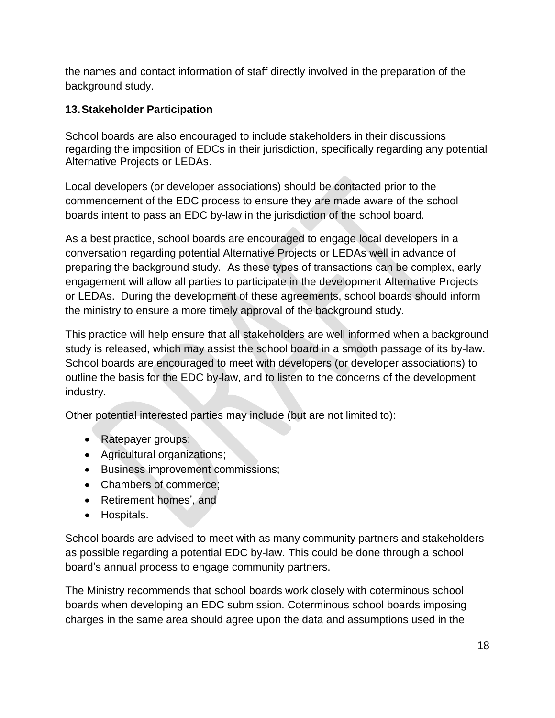the names and contact information of staff directly involved in the preparation of the background study.

# <span id="page-18-0"></span>**13.Stakeholder Participation**

School boards are also encouraged to include stakeholders in their discussions regarding the imposition of EDCs in their jurisdiction, specifically regarding any potential Alternative Projects or LEDAs.

Local developers (or developer associations) should be contacted prior to the commencement of the EDC process to ensure they are made aware of the school boards intent to pass an EDC by-law in the jurisdiction of the school board.

As a best practice, school boards are encouraged to engage local developers in a conversation regarding potential Alternative Projects or LEDAs well in advance of preparing the background study. As these types of transactions can be complex, early engagement will allow all parties to participate in the development Alternative Projects or LEDAs. During the development of these agreements, school boards should inform the ministry to ensure a more timely approval of the background study.

This practice will help ensure that all stakeholders are well informed when a background study is released, which may assist the school board in a smooth passage of its by-law. School boards are encouraged to meet with developers (or developer associations) to outline the basis for the EDC by-law, and to listen to the concerns of the development industry.

Other potential interested parties may include (but are not limited to):

- Ratepayer groups;
- Agricultural organizations;
- Business improvement commissions;
- Chambers of commerce;
- Retirement homes', and
- Hospitals.

School boards are advised to meet with as many community partners and stakeholders as possible regarding a potential EDC by-law. This could be done through a school board's annual process to engage community partners.

The Ministry recommends that school boards work closely with coterminous school boards when developing an EDC submission. Coterminous school boards imposing charges in the same area should agree upon the data and assumptions used in the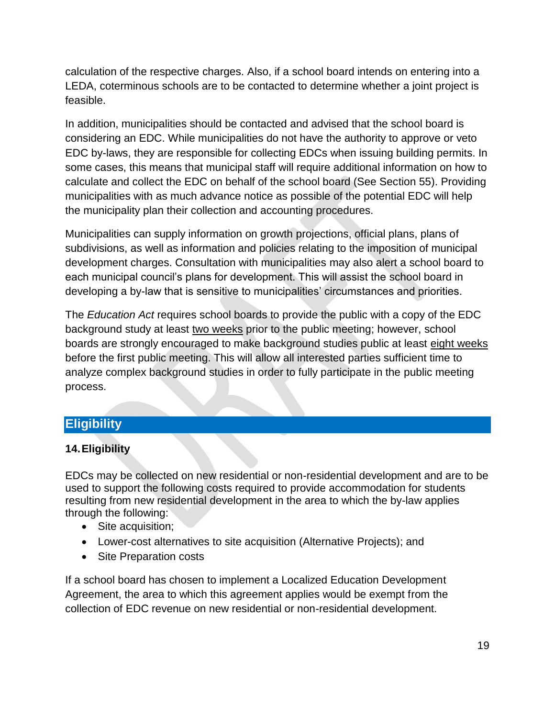calculation of the respective charges. Also, if a school board intends on entering into a LEDA, coterminous schools are to be contacted to determine whether a joint project is feasible.

In addition, municipalities should be contacted and advised that the school board is considering an EDC. While municipalities do not have the authority to approve or veto EDC by-laws, they are responsible for collecting EDCs when issuing building permits. In some cases, this means that municipal staff will require additional information on how to calculate and collect the EDC on behalf of the school board (See Section 55). Providing municipalities with as much advance notice as possible of the potential EDC will help the municipality plan their collection and accounting procedures.

Municipalities can supply information on growth projections, official plans, plans of subdivisions, as well as information and policies relating to the imposition of municipal development charges. Consultation with municipalities may also alert a school board to each municipal council's plans for development. This will assist the school board in developing a by-law that is sensitive to municipalities' circumstances and priorities.

The *Education Act* requires school boards to provide the public with a copy of the EDC background study at least two weeks prior to the public meeting; however, school boards are strongly encouraged to make background studies public at least eight weeks before the first public meeting. This will allow all interested parties sufficient time to analyze complex background studies in order to fully participate in the public meeting process.

# <span id="page-19-0"></span>**Eligibility**

# <span id="page-19-1"></span>**14.Eligibility**

EDCs may be collected on new residential or non-residential development and are to be used to support the following costs required to provide accommodation for students resulting from new residential development in the area to which the by-law applies through the following:

- Site acquisition;
- Lower-cost alternatives to site acquisition (Alternative Projects); and
- Site Preparation costs

If a school board has chosen to implement a Localized Education Development Agreement, the area to which this agreement applies would be exempt from the collection of EDC revenue on new residential or non-residential development.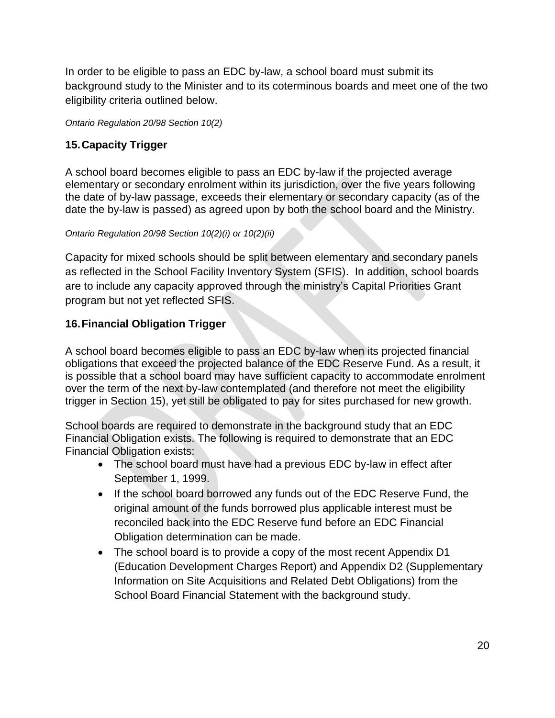In order to be eligible to pass an EDC by-law, a school board must submit its background study to the Minister and to its coterminous boards and meet one of the two eligibility criteria outlined below.

*Ontario Regulation 20/98 Section 10(2)*

# <span id="page-20-0"></span>**15.Capacity Trigger**

A school board becomes eligible to pass an EDC by-law if the projected average elementary or secondary enrolment within its jurisdiction, over the five years following the date of by-law passage, exceeds their elementary or secondary capacity (as of the date the by-law is passed) as agreed upon by both the school board and the Ministry.

#### *Ontario Regulation 20/98 Section 10(2)(i) or 10(2)(ii)*

Capacity for mixed schools should be split between elementary and secondary panels as reflected in the School Facility Inventory System (SFIS). In addition, school boards are to include any capacity approved through the ministry's Capital Priorities Grant program but not yet reflected SFIS.

# <span id="page-20-1"></span>**16.Financial Obligation Trigger**

A school board becomes eligible to pass an EDC by-law when its projected financial obligations that exceed the projected balance of the EDC Reserve Fund. As a result, it is possible that a school board may have sufficient capacity to accommodate enrolment over the term of the next by-law contemplated (and therefore not meet the eligibility trigger in Section 15), yet still be obligated to pay for sites purchased for new growth.

School boards are required to demonstrate in the background study that an EDC Financial Obligation exists. The following is required to demonstrate that an EDC Financial Obligation exists:

- The school board must have had a previous EDC by-law in effect after September 1, 1999.
- If the school board borrowed any funds out of the EDC Reserve Fund, the original amount of the funds borrowed plus applicable interest must be reconciled back into the EDC Reserve fund before an EDC Financial Obligation determination can be made.
- The school board is to provide a copy of the most recent Appendix D1 (Education Development Charges Report) and Appendix D2 (Supplementary Information on Site Acquisitions and Related Debt Obligations) from the School Board Financial Statement with the background study.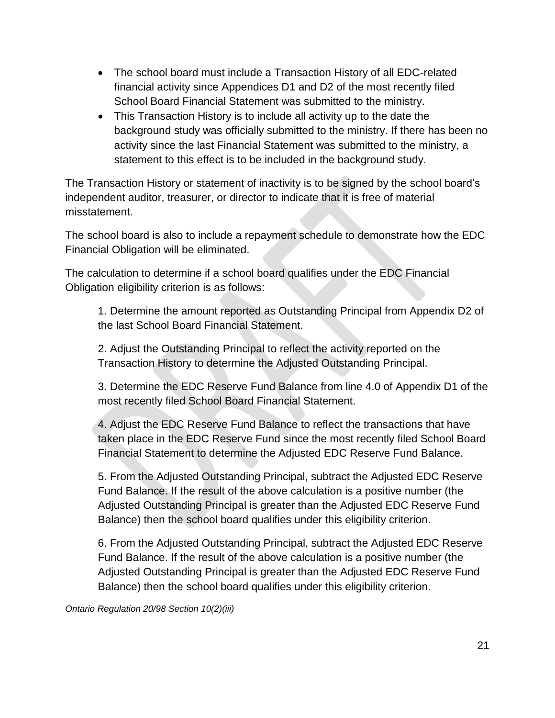- The school board must include a Transaction History of all EDC-related financial activity since Appendices D1 and D2 of the most recently filed School Board Financial Statement was submitted to the ministry.
- This Transaction History is to include all activity up to the date the background study was officially submitted to the ministry. If there has been no activity since the last Financial Statement was submitted to the ministry, a statement to this effect is to be included in the background study.

The Transaction History or statement of inactivity is to be signed by the school board's independent auditor, treasurer, or director to indicate that it is free of material misstatement.

The school board is also to include a repayment schedule to demonstrate how the EDC Financial Obligation will be eliminated.

The calculation to determine if a school board qualifies under the EDC Financial Obligation eligibility criterion is as follows:

1. Determine the amount reported as Outstanding Principal from Appendix D2 of the last School Board Financial Statement.

2. Adjust the Outstanding Principal to reflect the activity reported on the Transaction History to determine the Adjusted Outstanding Principal.

3. Determine the EDC Reserve Fund Balance from line 4.0 of Appendix D1 of the most recently filed School Board Financial Statement.

4. Adjust the EDC Reserve Fund Balance to reflect the transactions that have taken place in the EDC Reserve Fund since the most recently filed School Board Financial Statement to determine the Adjusted EDC Reserve Fund Balance.

5. From the Adjusted Outstanding Principal, subtract the Adjusted EDC Reserve Fund Balance. If the result of the above calculation is a positive number (the Adjusted Outstanding Principal is greater than the Adjusted EDC Reserve Fund Balance) then the school board qualifies under this eligibility criterion.

6. From the Adjusted Outstanding Principal, subtract the Adjusted EDC Reserve Fund Balance. If the result of the above calculation is a positive number (the Adjusted Outstanding Principal is greater than the Adjusted EDC Reserve Fund Balance) then the school board qualifies under this eligibility criterion.

*Ontario Regulation 20/98 Section 10(2)(iii)*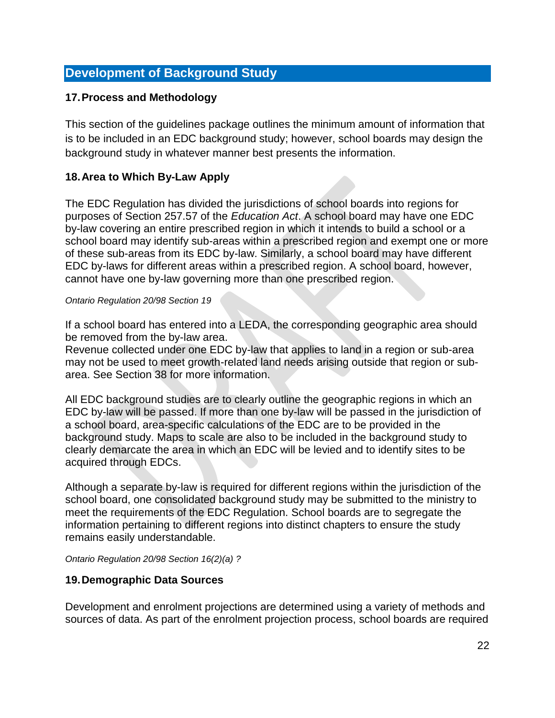# <span id="page-22-0"></span>**Development of Background Study**

#### <span id="page-22-1"></span>**17.Process and Methodology**

This section of the guidelines package outlines the minimum amount of information that is to be included in an EDC background study; however, school boards may design the background study in whatever manner best presents the information.

#### <span id="page-22-2"></span>**18.Area to Which By-Law Apply**

The EDC Regulation has divided the jurisdictions of school boards into regions for purposes of Section 257.57 of the *Education Act*. A school board may have one EDC by-law covering an entire prescribed region in which it intends to build a school or a school board may identify sub-areas within a prescribed region and exempt one or more of these sub-areas from its EDC by-law. Similarly, a school board may have different EDC by-laws for different areas within a prescribed region. A school board, however, cannot have one by-law governing more than one prescribed region.

#### *Ontario Regulation 20/98 Section 19*

If a school board has entered into a LEDA, the corresponding geographic area should be removed from the by-law area.

Revenue collected under one EDC by-law that applies to land in a region or sub-area may not be used to meet growth-related land needs arising outside that region or subarea. See Section 38 for more information.

All EDC background studies are to clearly outline the geographic regions in which an EDC by-law will be passed. If more than one by-law will be passed in the jurisdiction of a school board, area-specific calculations of the EDC are to be provided in the background study. Maps to scale are also to be included in the background study to clearly demarcate the area in which an EDC will be levied and to identify sites to be acquired through EDCs.

Although a separate by-law is required for different regions within the jurisdiction of the school board, one consolidated background study may be submitted to the ministry to meet the requirements of the EDC Regulation. School boards are to segregate the information pertaining to different regions into distinct chapters to ensure the study remains easily understandable.

*Ontario Regulation 20/98 Section 16(2)(a) ?*

#### <span id="page-22-3"></span>**19.Demographic Data Sources**

Development and enrolment projections are determined using a variety of methods and sources of data. As part of the enrolment projection process, school boards are required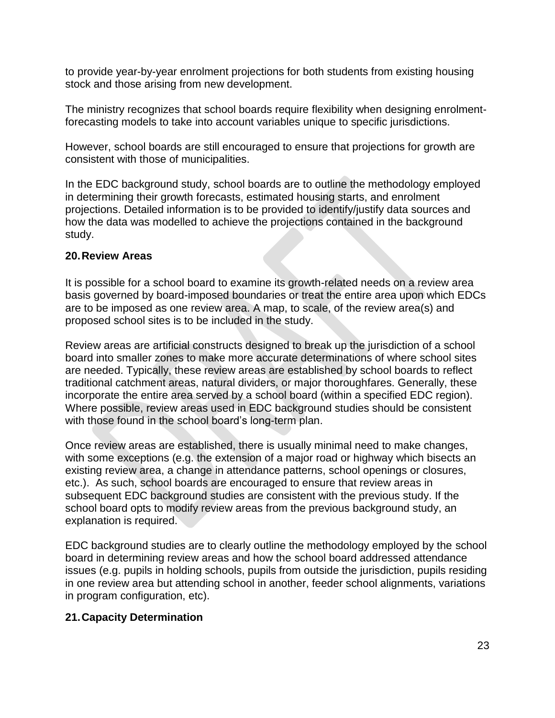to provide year-by-year enrolment projections for both students from existing housing stock and those arising from new development.

The ministry recognizes that school boards require flexibility when designing enrolmentforecasting models to take into account variables unique to specific jurisdictions.

However, school boards are still encouraged to ensure that projections for growth are consistent with those of municipalities.

In the EDC background study, school boards are to outline the methodology employed in determining their growth forecasts, estimated housing starts, and enrolment projections. Detailed information is to be provided to identify/justify data sources and how the data was modelled to achieve the projections contained in the background study.

### <span id="page-23-0"></span>**20.Review Areas**

It is possible for a school board to examine its growth-related needs on a review area basis governed by board-imposed boundaries or treat the entire area upon which EDCs are to be imposed as one review area. A map, to scale, of the review area(s) and proposed school sites is to be included in the study.

Review areas are artificial constructs designed to break up the jurisdiction of a school board into smaller zones to make more accurate determinations of where school sites are needed. Typically, these review areas are established by school boards to reflect traditional catchment areas, natural dividers, or major thoroughfares. Generally, these incorporate the entire area served by a school board (within a specified EDC region). Where possible, review areas used in EDC background studies should be consistent with those found in the school board's long-term plan.

Once review areas are established, there is usually minimal need to make changes, with some exceptions (e.g. the extension of a major road or highway which bisects an existing review area, a change in attendance patterns, school openings or closures, etc.). As such, school boards are encouraged to ensure that review areas in subsequent EDC background studies are consistent with the previous study. If the school board opts to modify review areas from the previous background study, an explanation is required.

EDC background studies are to clearly outline the methodology employed by the school board in determining review areas and how the school board addressed attendance issues (e.g. pupils in holding schools, pupils from outside the jurisdiction, pupils residing in one review area but attending school in another, feeder school alignments, variations in program configuration, etc).

### <span id="page-23-1"></span>**21.Capacity Determination**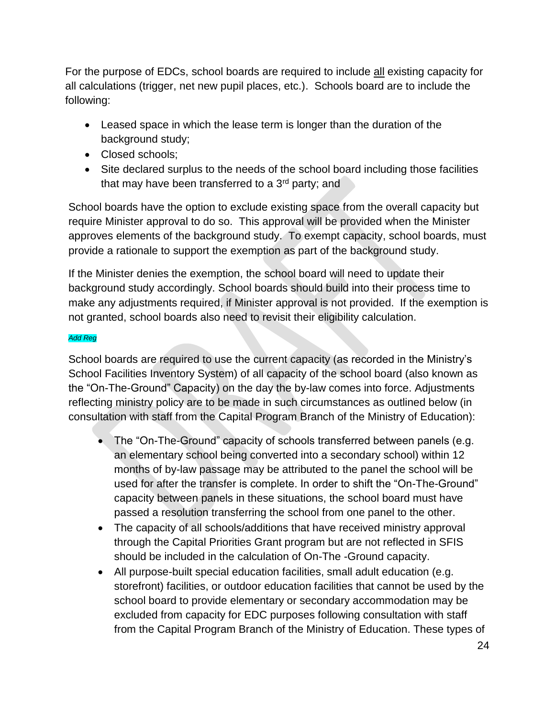For the purpose of EDCs, school boards are required to include all existing capacity for all calculations (trigger, net new pupil places, etc.). Schools board are to include the following:

- Leased space in which the lease term is longer than the duration of the background study;
- Closed schools;
- Site declared surplus to the needs of the school board including those facilities that may have been transferred to a  $3<sup>rd</sup>$  party; and

School boards have the option to exclude existing space from the overall capacity but require Minister approval to do so. This approval will be provided when the Minister approves elements of the background study. To exempt capacity, school boards, must provide a rationale to support the exemption as part of the background study.

If the Minister denies the exemption, the school board will need to update their background study accordingly. School boards should build into their process time to make any adjustments required, if Minister approval is not provided. If the exemption is not granted, school boards also need to revisit their eligibility calculation.

#### *Add Reg*

School boards are required to use the current capacity (as recorded in the Ministry's School Facilities Inventory System) of all capacity of the school board (also known as the "On-The-Ground" Capacity) on the day the by-law comes into force. Adjustments reflecting ministry policy are to be made in such circumstances as outlined below (in consultation with staff from the Capital Program Branch of the Ministry of Education):

- The "On-The-Ground" capacity of schools transferred between panels (e.g. an elementary school being converted into a secondary school) within 12 months of by-law passage may be attributed to the panel the school will be used for after the transfer is complete. In order to shift the "On-The-Ground" capacity between panels in these situations, the school board must have passed a resolution transferring the school from one panel to the other.
- The capacity of all schools/additions that have received ministry approval through the Capital Priorities Grant program but are not reflected in SFIS should be included in the calculation of On-The -Ground capacity.
- All purpose-built special education facilities, small adult education (e.g. storefront) facilities, or outdoor education facilities that cannot be used by the school board to provide elementary or secondary accommodation may be excluded from capacity for EDC purposes following consultation with staff from the Capital Program Branch of the Ministry of Education. These types of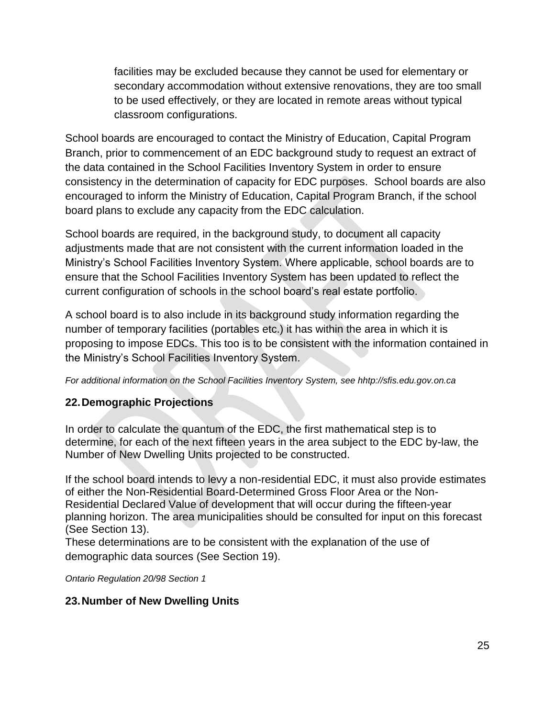facilities may be excluded because they cannot be used for elementary or secondary accommodation without extensive renovations, they are too small to be used effectively, or they are located in remote areas without typical classroom configurations.

School boards are encouraged to contact the Ministry of Education, Capital Program Branch, prior to commencement of an EDC background study to request an extract of the data contained in the School Facilities Inventory System in order to ensure consistency in the determination of capacity for EDC purposes. School boards are also encouraged to inform the Ministry of Education, Capital Program Branch, if the school board plans to exclude any capacity from the EDC calculation.

School boards are required, in the background study, to document all capacity adjustments made that are not consistent with the current information loaded in the Ministry's School Facilities Inventory System. Where applicable, school boards are to ensure that the School Facilities Inventory System has been updated to reflect the current configuration of schools in the school board's real estate portfolio.

A school board is to also include in its background study information regarding the number of temporary facilities (portables etc.) it has within the area in which it is proposing to impose EDCs. This too is to be consistent with the information contained in the Ministry's School Facilities Inventory System.

*For additional information on the School Facilities Inventory System, see hhtp://sfis.edu.gov.on.ca*

### <span id="page-25-0"></span>**22.Demographic Projections**

In order to calculate the quantum of the EDC, the first mathematical step is to determine, for each of the next fifteen years in the area subject to the EDC by-law, the Number of New Dwelling Units projected to be constructed.

If the school board intends to levy a non-residential EDC, it must also provide estimates of either the Non-Residential Board-Determined Gross Floor Area or the Non-Residential Declared Value of development that will occur during the fifteen-year planning horizon. The area municipalities should be consulted for input on this forecast (See Section 13).

These determinations are to be consistent with the explanation of the use of demographic data sources (See Section 19).

*Ontario Regulation 20/98 Section 1*

### <span id="page-25-1"></span>**23.Number of New Dwelling Units**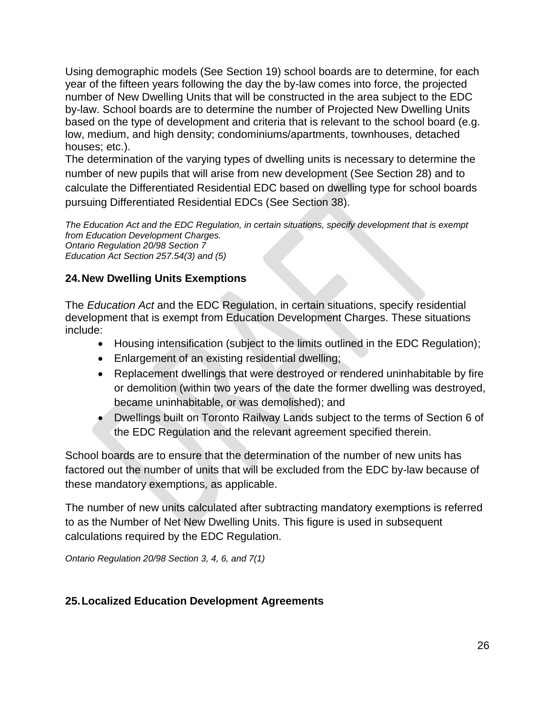Using demographic models (See Section 19) school boards are to determine, for each year of the fifteen years following the day the by-law comes into force, the projected number of New Dwelling Units that will be constructed in the area subject to the EDC by-law. School boards are to determine the number of Projected New Dwelling Units based on the type of development and criteria that is relevant to the school board (e.g. low, medium, and high density; condominiums/apartments, townhouses, detached houses; etc.).

The determination of the varying types of dwelling units is necessary to determine the number of new pupils that will arise from new development (See Section 28) and to calculate the Differentiated Residential EDC based on dwelling type for school boards pursuing Differentiated Residential EDCs (See Section 38).

*The Education Act and the EDC Regulation, in certain situations, specify development that is exempt from Education Development Charges. Ontario Regulation 20/98 Section 7 Education Act Section 257.54(3) and (5)*

## <span id="page-26-0"></span>**24.New Dwelling Units Exemptions**

The *Education Act* and the EDC Regulation, in certain situations, specify residential development that is exempt from Education Development Charges. These situations include:

- Housing intensification (subject to the limits outlined in the EDC Regulation);
- Enlargement of an existing residential dwelling;
- Replacement dwellings that were destroyed or rendered uninhabitable by fire or demolition (within two years of the date the former dwelling was destroyed, became uninhabitable, or was demolished); and
- Dwellings built on Toronto Railway Lands subject to the terms of Section 6 of the EDC Regulation and the relevant agreement specified therein.

School boards are to ensure that the determination of the number of new units has factored out the number of units that will be excluded from the EDC by-law because of these mandatory exemptions, as applicable.

The number of new units calculated after subtracting mandatory exemptions is referred to as the Number of Net New Dwelling Units. This figure is used in subsequent calculations required by the EDC Regulation.

*Ontario Regulation 20/98 Section 3, 4, 6, and 7(1)*

# <span id="page-26-1"></span>**25.Localized Education Development Agreements**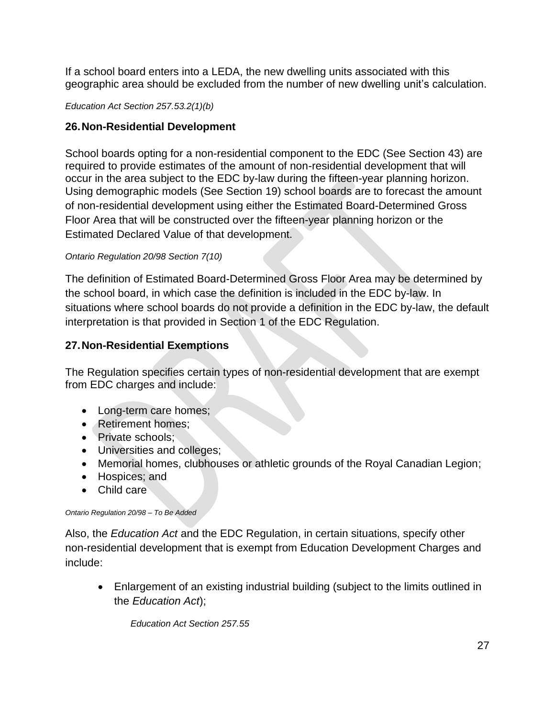If a school board enters into a LEDA, the new dwelling units associated with this geographic area should be excluded from the number of new dwelling unit's calculation.

#### *Education Act Section 257.53.2(1)(b)*

## <span id="page-27-0"></span>**26.Non-Residential Development**

School boards opting for a non-residential component to the EDC (See Section 43) are required to provide estimates of the amount of non-residential development that will occur in the area subject to the EDC by-law during the fifteen-year planning horizon. Using demographic models (See Section 19) school boards are to forecast the amount of non-residential development using either the Estimated Board-Determined Gross Floor Area that will be constructed over the fifteen-year planning horizon or the Estimated Declared Value of that development.

#### *Ontario Regulation 20/98 Section 7(10)*

The definition of Estimated Board-Determined Gross Floor Area may be determined by the school board, in which case the definition is included in the EDC by-law. In situations where school boards do not provide a definition in the EDC by-law, the default interpretation is that provided in Section 1 of the EDC Regulation.

## <span id="page-27-1"></span>**27.Non-Residential Exemptions**

The Regulation specifies certain types of non-residential development that are exempt from EDC charges and include:

- Long-term care homes;
- Retirement homes:
- Private schools:
- Universities and colleges;
- Memorial homes, clubhouses or athletic grounds of the Royal Canadian Legion;
- Hospices; and
- Child care

#### *Ontario Regulation 20/98 – To Be Added*

Also, the *Education Act* and the EDC Regulation, in certain situations, specify other non-residential development that is exempt from Education Development Charges and include:

• Enlargement of an existing industrial building (subject to the limits outlined in the *Education Act*);

*Education Act Section 257.55*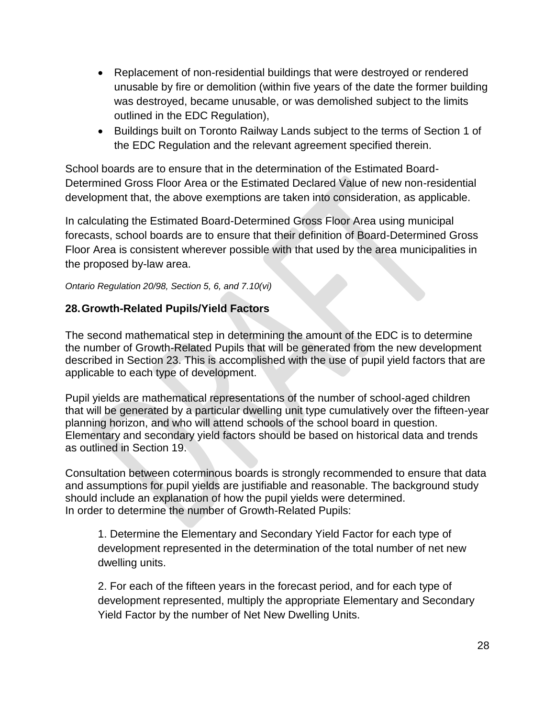- Replacement of non-residential buildings that were destroyed or rendered unusable by fire or demolition (within five years of the date the former building was destroyed, became unusable, or was demolished subject to the limits outlined in the EDC Regulation),
- Buildings built on Toronto Railway Lands subject to the terms of Section 1 of the EDC Regulation and the relevant agreement specified therein.

School boards are to ensure that in the determination of the Estimated Board-Determined Gross Floor Area or the Estimated Declared Value of new non-residential development that, the above exemptions are taken into consideration, as applicable.

In calculating the Estimated Board-Determined Gross Floor Area using municipal forecasts, school boards are to ensure that their definition of Board-Determined Gross Floor Area is consistent wherever possible with that used by the area municipalities in the proposed by-law area.

*Ontario Regulation 20/98, Section 5, 6, and 7.10(vi)*

### <span id="page-28-0"></span>**28.Growth-Related Pupils/Yield Factors**

The second mathematical step in determining the amount of the EDC is to determine the number of Growth-Related Pupils that will be generated from the new development described in Section 23. This is accomplished with the use of pupil yield factors that are applicable to each type of development.

Pupil yields are mathematical representations of the number of school-aged children that will be generated by a particular dwelling unit type cumulatively over the fifteen-year planning horizon, and who will attend schools of the school board in question. Elementary and secondary yield factors should be based on historical data and trends as outlined in Section 19.

Consultation between coterminous boards is strongly recommended to ensure that data and assumptions for pupil yields are justifiable and reasonable. The background study should include an explanation of how the pupil yields were determined. In order to determine the number of Growth-Related Pupils:

1. Determine the Elementary and Secondary Yield Factor for each type of development represented in the determination of the total number of net new dwelling units.

2. For each of the fifteen years in the forecast period, and for each type of development represented, multiply the appropriate Elementary and Secondary Yield Factor by the number of Net New Dwelling Units.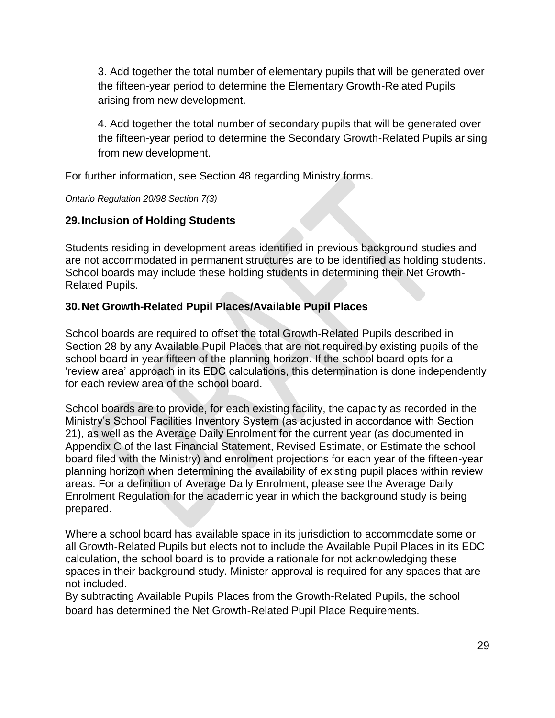3. Add together the total number of elementary pupils that will be generated over the fifteen-year period to determine the Elementary Growth-Related Pupils arising from new development.

4. Add together the total number of secondary pupils that will be generated over the fifteen-year period to determine the Secondary Growth-Related Pupils arising from new development.

For further information, see Section 48 regarding Ministry forms.

*Ontario Regulation 20/98 Section 7(3)*

### <span id="page-29-0"></span>**29.Inclusion of Holding Students**

Students residing in development areas identified in previous background studies and are not accommodated in permanent structures are to be identified as holding students. School boards may include these holding students in determining their Net Growth-Related Pupils.

### <span id="page-29-1"></span>**30.Net Growth-Related Pupil Places/Available Pupil Places**

School boards are required to offset the total Growth-Related Pupils described in Section 28 by any Available Pupil Places that are not required by existing pupils of the school board in year fifteen of the planning horizon. If the school board opts for a 'review area' approach in its EDC calculations, this determination is done independently for each review area of the school board.

School boards are to provide, for each existing facility, the capacity as recorded in the Ministry's School Facilities Inventory System (as adjusted in accordance with Section 21), as well as the Average Daily Enrolment for the current year (as documented in Appendix C of the last Financial Statement, Revised Estimate, or Estimate the school board filed with the Ministry) and enrolment projections for each year of the fifteen-year planning horizon when determining the availability of existing pupil places within review areas. For a definition of Average Daily Enrolment, please see the Average Daily Enrolment Regulation for the academic year in which the background study is being prepared.

Where a school board has available space in its jurisdiction to accommodate some or all Growth-Related Pupils but elects not to include the Available Pupil Places in its EDC calculation, the school board is to provide a rationale for not acknowledging these spaces in their background study. Minister approval is required for any spaces that are not included.

By subtracting Available Pupils Places from the Growth-Related Pupils, the school board has determined the Net Growth-Related Pupil Place Requirements.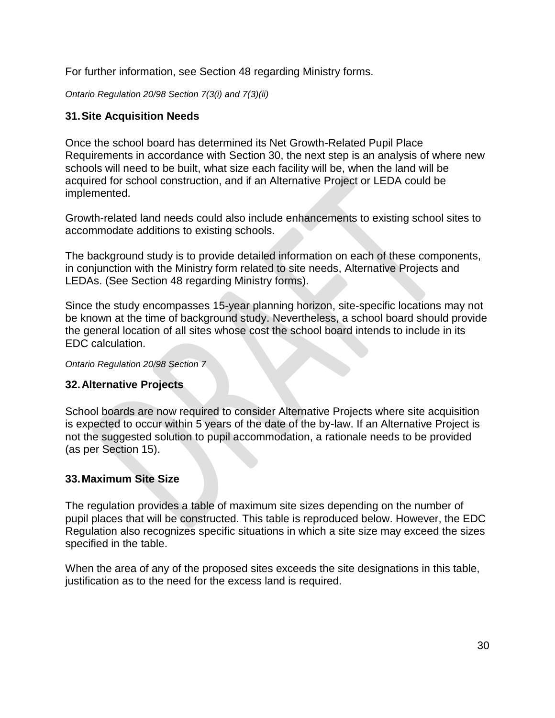For further information, see Section 48 regarding Ministry forms.

*Ontario Regulation 20/98 Section 7(3(i) and 7(3)(ii)*

### <span id="page-30-0"></span>**31.Site Acquisition Needs**

Once the school board has determined its Net Growth-Related Pupil Place Requirements in accordance with Section 30, the next step is an analysis of where new schools will need to be built, what size each facility will be, when the land will be acquired for school construction, and if an Alternative Project or LEDA could be implemented.

Growth-related land needs could also include enhancements to existing school sites to accommodate additions to existing schools.

The background study is to provide detailed information on each of these components, in conjunction with the Ministry form related to site needs, Alternative Projects and LEDAs. (See Section 48 regarding Ministry forms).

Since the study encompasses 15-year planning horizon, site-specific locations may not be known at the time of background study. Nevertheless, a school board should provide the general location of all sites whose cost the school board intends to include in its EDC calculation.

*Ontario Regulation 20/98 Section 7*

### <span id="page-30-1"></span>**32.Alternative Projects**

School boards are now required to consider Alternative Projects where site acquisition is expected to occur within 5 years of the date of the by-law. If an Alternative Project is not the suggested solution to pupil accommodation, a rationale needs to be provided (as per Section 15).

### <span id="page-30-2"></span>**33.Maximum Site Size**

The regulation provides a table of maximum site sizes depending on the number of pupil places that will be constructed. This table is reproduced below. However, the EDC Regulation also recognizes specific situations in which a site size may exceed the sizes specified in the table.

When the area of any of the proposed sites exceeds the site designations in this table, justification as to the need for the excess land is required.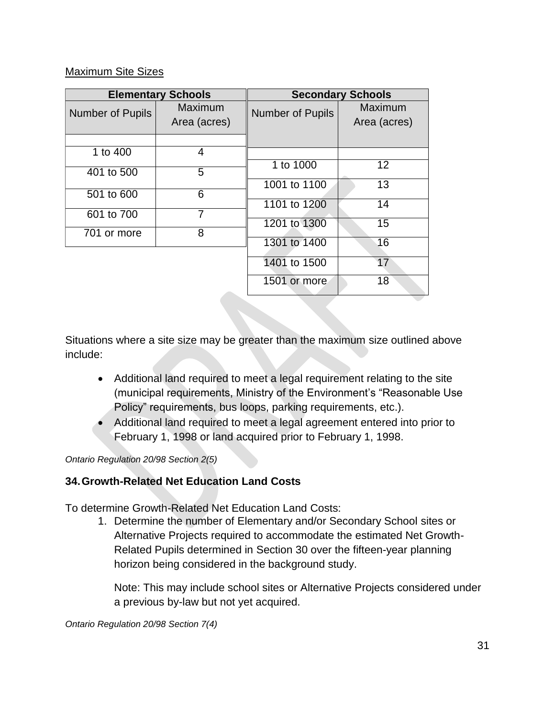#### Maximum Site Sizes

|                         | <b>Elementary Schools</b> |                         | <b>Secondary Schools</b> |
|-------------------------|---------------------------|-------------------------|--------------------------|
| <b>Number of Pupils</b> | Maximum<br>Area (acres)   | <b>Number of Pupils</b> | Maximum<br>Area (acres)  |
|                         |                           |                         |                          |
| 1 to 400                | 4                         |                         |                          |
| 401 to 500              | 5                         | 1 to 1000               | 12                       |
|                         |                           | 1001 to 1100            | 13                       |
| 501 to 600              | 6                         | 1101 to 1200            | 14                       |
| 601 to 700              | 7                         |                         |                          |
|                         |                           | 1201 to 1300            | 15                       |
| 701 or more             | 8                         |                         | 16                       |
|                         |                           | 1301 to 1400            |                          |
|                         |                           | 1401 to 1500            | 17                       |
|                         |                           | 1501 or more            | 18                       |

Situations where a site size may be greater than the maximum size outlined above include:

- Additional land required to meet a legal requirement relating to the site (municipal requirements, Ministry of the Environment's "Reasonable Use Policy" requirements, bus loops, parking requirements, etc.).
- Additional land required to meet a legal agreement entered into prior to February 1, 1998 or land acquired prior to February 1, 1998.

*Ontario Regulation 20/98 Section 2(5)*

# <span id="page-31-0"></span>**34.Growth-Related Net Education Land Costs**

To determine Growth-Related Net Education Land Costs:

1. Determine the number of Elementary and/or Secondary School sites or Alternative Projects required to accommodate the estimated Net Growth-Related Pupils determined in Section 30 over the fifteen-year planning horizon being considered in the background study.

Note: This may include school sites or Alternative Projects considered under a previous by-law but not yet acquired.

*Ontario Regulation 20/98 Section 7(4)*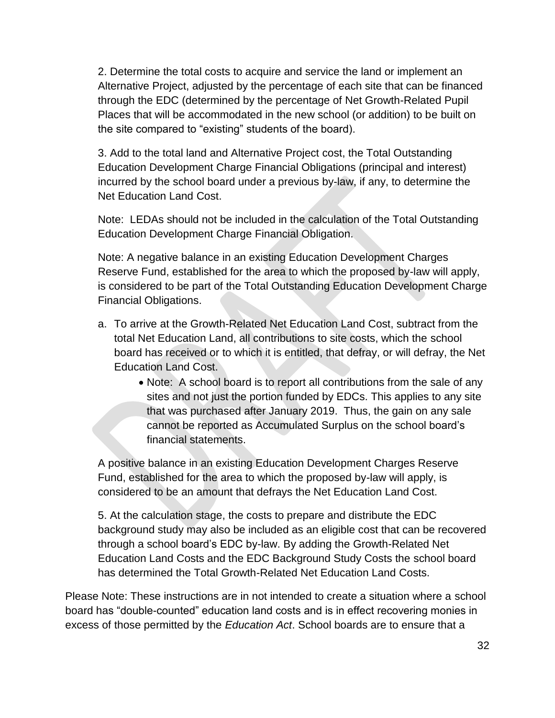2. Determine the total costs to acquire and service the land or implement an Alternative Project, adjusted by the percentage of each site that can be financed through the EDC (determined by the percentage of Net Growth-Related Pupil Places that will be accommodated in the new school (or addition) to be built on the site compared to "existing" students of the board).

3. Add to the total land and Alternative Project cost, the Total Outstanding Education Development Charge Financial Obligations (principal and interest) incurred by the school board under a previous by-law, if any, to determine the Net Education Land Cost.

Note: LEDAs should not be included in the calculation of the Total Outstanding Education Development Charge Financial Obligation.

Note: A negative balance in an existing Education Development Charges Reserve Fund, established for the area to which the proposed by-law will apply, is considered to be part of the Total Outstanding Education Development Charge Financial Obligations.

- a. To arrive at the Growth-Related Net Education Land Cost, subtract from the total Net Education Land, all contributions to site costs, which the school board has received or to which it is entitled, that defray, or will defray, the Net Education Land Cost.
	- Note: A school board is to report all contributions from the sale of any sites and not just the portion funded by EDCs. This applies to any site that was purchased after January 2019. Thus, the gain on any sale cannot be reported as Accumulated Surplus on the school board's financial statements.

A positive balance in an existing Education Development Charges Reserve Fund, established for the area to which the proposed by-law will apply, is considered to be an amount that defrays the Net Education Land Cost.

5. At the calculation stage, the costs to prepare and distribute the EDC background study may also be included as an eligible cost that can be recovered through a school board's EDC by-law. By adding the Growth-Related Net Education Land Costs and the EDC Background Study Costs the school board has determined the Total Growth-Related Net Education Land Costs.

Please Note: These instructions are in not intended to create a situation where a school board has "double-counted" education land costs and is in effect recovering monies in excess of those permitted by the *Education Act*. School boards are to ensure that a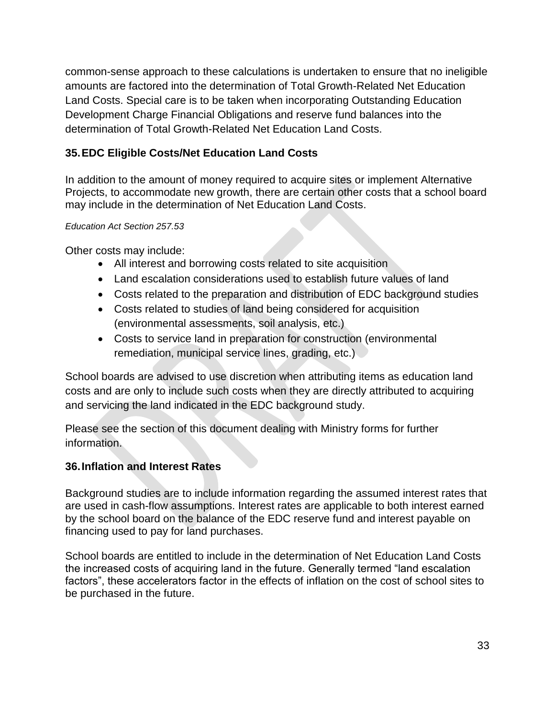common-sense approach to these calculations is undertaken to ensure that no ineligible amounts are factored into the determination of Total Growth-Related Net Education Land Costs. Special care is to be taken when incorporating Outstanding Education Development Charge Financial Obligations and reserve fund balances into the determination of Total Growth-Related Net Education Land Costs.

# <span id="page-33-0"></span>**35.EDC Eligible Costs/Net Education Land Costs**

In addition to the amount of money required to acquire sites or implement Alternative Projects, to accommodate new growth, there are certain other costs that a school board may include in the determination of Net Education Land Costs.

#### *Education Act Section 257.53*

Other costs may include:

- All interest and borrowing costs related to site acquisition
- Land escalation considerations used to establish future values of land
- Costs related to the preparation and distribution of EDC background studies
- Costs related to studies of land being considered for acquisition (environmental assessments, soil analysis, etc.)
- Costs to service land in preparation for construction (environmental remediation, municipal service lines, grading, etc.)

School boards are advised to use discretion when attributing items as education land costs and are only to include such costs when they are directly attributed to acquiring and servicing the land indicated in the EDC background study.

Please see the section of this document dealing with Ministry forms for further information.

### <span id="page-33-1"></span>**36.Inflation and Interest Rates**

Background studies are to include information regarding the assumed interest rates that are used in cash-flow assumptions. Interest rates are applicable to both interest earned by the school board on the balance of the EDC reserve fund and interest payable on financing used to pay for land purchases.

School boards are entitled to include in the determination of Net Education Land Costs the increased costs of acquiring land in the future. Generally termed "land escalation factors", these accelerators factor in the effects of inflation on the cost of school sites to be purchased in the future.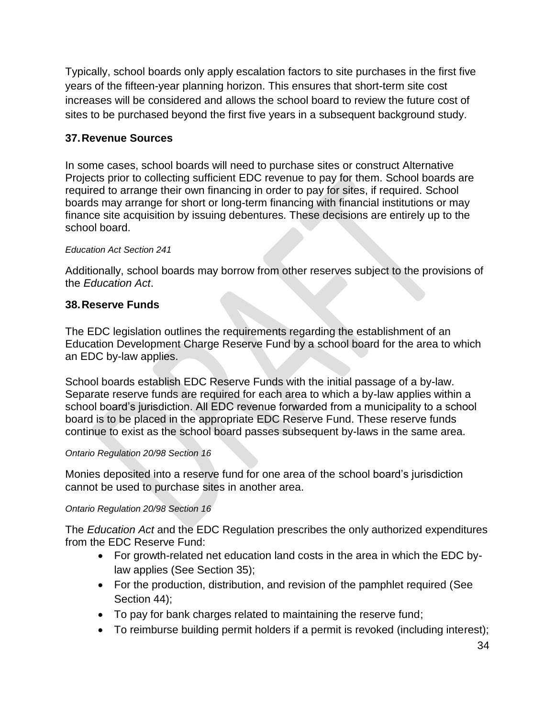Typically, school boards only apply escalation factors to site purchases in the first five years of the fifteen-year planning horizon. This ensures that short-term site cost increases will be considered and allows the school board to review the future cost of sites to be purchased beyond the first five years in a subsequent background study.

## <span id="page-34-0"></span>**37.Revenue Sources**

In some cases, school boards will need to purchase sites or construct Alternative Projects prior to collecting sufficient EDC revenue to pay for them. School boards are required to arrange their own financing in order to pay for sites, if required. School boards may arrange for short or long-term financing with financial institutions or may finance site acquisition by issuing debentures. These decisions are entirely up to the school board.

#### *Education Act Section 241*

Additionally, school boards may borrow from other reserves subject to the provisions of the *Education Act*.

## <span id="page-34-1"></span>**38.Reserve Funds**

The EDC legislation outlines the requirements regarding the establishment of an Education Development Charge Reserve Fund by a school board for the area to which an EDC by-law applies.

School boards establish EDC Reserve Funds with the initial passage of a by-law. Separate reserve funds are required for each area to which a by-law applies within a school board's jurisdiction. All EDC revenue forwarded from a municipality to a school board is to be placed in the appropriate EDC Reserve Fund. These reserve funds continue to exist as the school board passes subsequent by-laws in the same area.

#### *Ontario Regulation 20/98 Section 16*

Monies deposited into a reserve fund for one area of the school board's jurisdiction cannot be used to purchase sites in another area.

### *Ontario Regulation 20/98 Section 16*

The *Education Act* and the EDC Regulation prescribes the only authorized expenditures from the EDC Reserve Fund:

- For growth-related net education land costs in the area in which the EDC bylaw applies (See Section 35);
- For the production, distribution, and revision of the pamphlet required (See Section 44);
- To pay for bank charges related to maintaining the reserve fund;
- To reimburse building permit holders if a permit is revoked (including interest);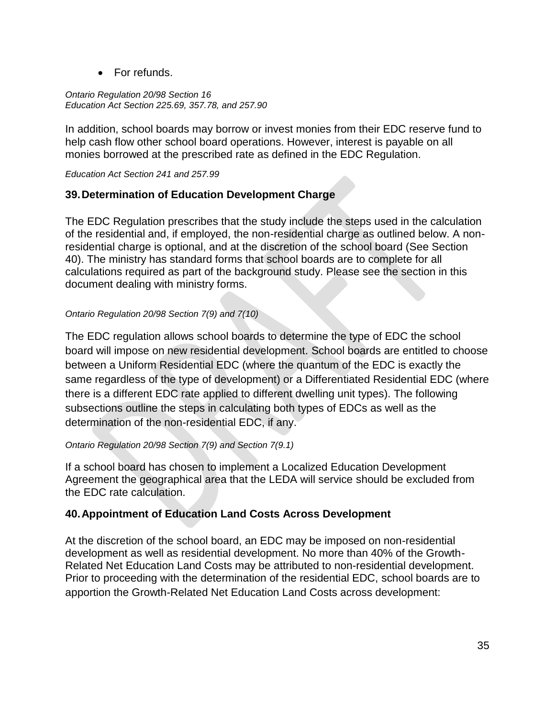• For refunds.

*Ontario Regulation 20/98 Section 16 Education Act Section 225.69, 357.78, and 257.90*

In addition, school boards may borrow or invest monies from their EDC reserve fund to help cash flow other school board operations. However, interest is payable on all monies borrowed at the prescribed rate as defined in the EDC Regulation.

*Education Act Section 241 and 257.99*

#### <span id="page-35-0"></span>**39.Determination of Education Development Charge**

The EDC Regulation prescribes that the study include the steps used in the calculation of the residential and, if employed, the non-residential charge as outlined below. A nonresidential charge is optional, and at the discretion of the school board (See Section 40). The ministry has standard forms that school boards are to complete for all calculations required as part of the background study. Please see the section in this document dealing with ministry forms.

#### *Ontario Regulation 20/98 Section 7(9) and 7(10)*

The EDC regulation allows school boards to determine the type of EDC the school board will impose on new residential development. School boards are entitled to choose between a Uniform Residential EDC (where the quantum of the EDC is exactly the same regardless of the type of development) or a Differentiated Residential EDC (where there is a different EDC rate applied to different dwelling unit types). The following subsections outline the steps in calculating both types of EDCs as well as the determination of the non-residential EDC, if any.

#### *Ontario Regulation 20/98 Section 7(9) and Section 7(9.1)*

If a school board has chosen to implement a Localized Education Development Agreement the geographical area that the LEDA will service should be excluded from the EDC rate calculation.

#### <span id="page-35-1"></span>**40.Appointment of Education Land Costs Across Development**

At the discretion of the school board, an EDC may be imposed on non-residential development as well as residential development. No more than 40% of the Growth-Related Net Education Land Costs may be attributed to non-residential development. Prior to proceeding with the determination of the residential EDC, school boards are to apportion the Growth-Related Net Education Land Costs across development: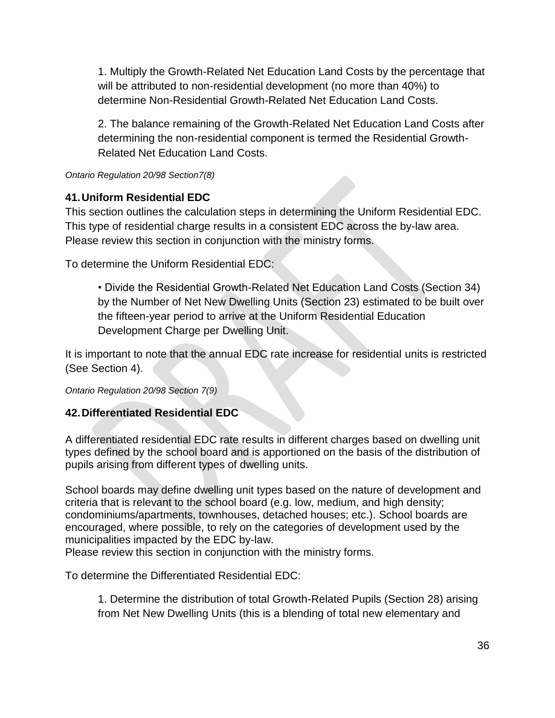1. Multiply the Growth-Related Net Education Land Costs by the percentage that will be attributed to non-residential development (no more than 40%) to determine Non-Residential Growth-Related Net Education Land Costs.

2. The balance remaining of the Growth-Related Net Education Land Costs after determining the non-residential component is termed the Residential Growth-Related Net Education Land Costs.

*Ontario Regulation 20/98 Section7(8)*

### <span id="page-36-0"></span>**41.Uniform Residential EDC**

This section outlines the calculation steps in determining the Uniform Residential EDC. This type of residential charge results in a consistent EDC across the by-law area. Please review this section in conjunction with the ministry forms.

To determine the Uniform Residential EDC:

• Divide the Residential Growth-Related Net Education Land Costs (Section 34) by the Number of Net New Dwelling Units (Section 23) estimated to be built over the fifteen-year period to arrive at the Uniform Residential Education Development Charge per Dwelling Unit.

It is important to note that the annual EDC rate increase for residential units is restricted (See Section 4).

*Ontario Regulation 20/98 Section 7(9)*

### <span id="page-36-1"></span>**42.Differentiated Residential EDC**

A differentiated residential EDC rate results in different charges based on dwelling unit types defined by the school board and is apportioned on the basis of the distribution of pupils arising from different types of dwelling units.

School boards may define dwelling unit types based on the nature of development and criteria that is relevant to the school board (e.g. low, medium, and high density; condominiums/apartments, townhouses, detached houses; etc.). School boards are encouraged, where possible, to rely on the categories of development used by the municipalities impacted by the EDC by-law.

Please review this section in conjunction with the ministry forms.

To determine the Differentiated Residential EDC:

1. Determine the distribution of total Growth-Related Pupils (Section 28) arising from Net New Dwelling Units (this is a blending of total new elementary and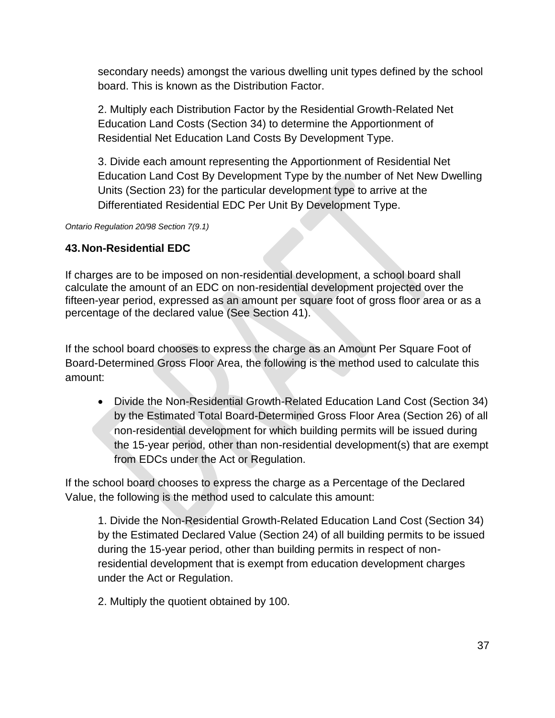secondary needs) amongst the various dwelling unit types defined by the school board. This is known as the Distribution Factor.

2. Multiply each Distribution Factor by the Residential Growth-Related Net Education Land Costs (Section 34) to determine the Apportionment of Residential Net Education Land Costs By Development Type.

3. Divide each amount representing the Apportionment of Residential Net Education Land Cost By Development Type by the number of Net New Dwelling Units (Section 23) for the particular development type to arrive at the Differentiated Residential EDC Per Unit By Development Type.

*Ontario Regulation 20/98 Section 7(9.1)*

## <span id="page-37-0"></span>**43.Non-Residential EDC**

If charges are to be imposed on non-residential development, a school board shall calculate the amount of an EDC on non-residential development projected over the fifteen-year period, expressed as an amount per square foot of gross floor area or as a percentage of the declared value (See Section 41).

If the school board chooses to express the charge as an Amount Per Square Foot of Board-Determined Gross Floor Area, the following is the method used to calculate this amount:

• Divide the Non-Residential Growth-Related Education Land Cost (Section 34) by the Estimated Total Board-Determined Gross Floor Area (Section 26) of all non-residential development for which building permits will be issued during the 15-year period, other than non-residential development(s) that are exempt from EDCs under the Act or Regulation.

If the school board chooses to express the charge as a Percentage of the Declared Value, the following is the method used to calculate this amount:

1. Divide the Non-Residential Growth-Related Education Land Cost (Section 34) by the Estimated Declared Value (Section 24) of all building permits to be issued during the 15-year period, other than building permits in respect of nonresidential development that is exempt from education development charges under the Act or Regulation.

2. Multiply the quotient obtained by 100.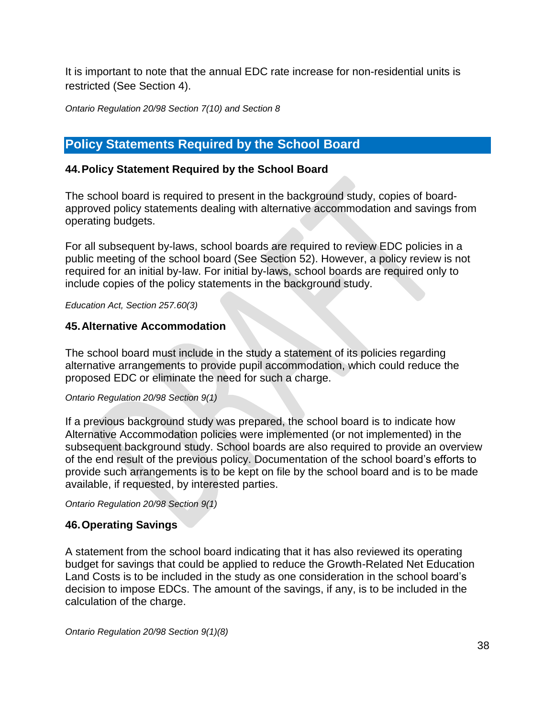It is important to note that the annual EDC rate increase for non-residential units is restricted (See Section 4).

*Ontario Regulation 20/98 Section 7(10) and Section 8*

# <span id="page-38-0"></span>**Policy Statements Required by the School Board**

#### <span id="page-38-1"></span>**44.Policy Statement Required by the School Board**

The school board is required to present in the background study, copies of boardapproved policy statements dealing with alternative accommodation and savings from operating budgets.

For all subsequent by-laws, school boards are required to review EDC policies in a public meeting of the school board (See Section 52). However, a policy review is not required for an initial by-law. For initial by-laws, school boards are required only to include copies of the policy statements in the background study.

*Education Act, Section 257.60(3)*

#### <span id="page-38-2"></span>**45.Alternative Accommodation**

The school board must include in the study a statement of its policies regarding alternative arrangements to provide pupil accommodation, which could reduce the proposed EDC or eliminate the need for such a charge.

#### *Ontario Regulation 20/98 Section 9(1)*

If a previous background study was prepared, the school board is to indicate how Alternative Accommodation policies were implemented (or not implemented) in the subsequent background study. School boards are also required to provide an overview of the end result of the previous policy. Documentation of the school board's efforts to provide such arrangements is to be kept on file by the school board and is to be made available, if requested, by interested parties.

*Ontario Regulation 20/98 Section 9(1)*

#### <span id="page-38-3"></span>**46.Operating Savings**

A statement from the school board indicating that it has also reviewed its operating budget for savings that could be applied to reduce the Growth-Related Net Education Land Costs is to be included in the study as one consideration in the school board's decision to impose EDCs. The amount of the savings, if any, is to be included in the calculation of the charge.

*Ontario Regulation 20/98 Section 9(1)(8)*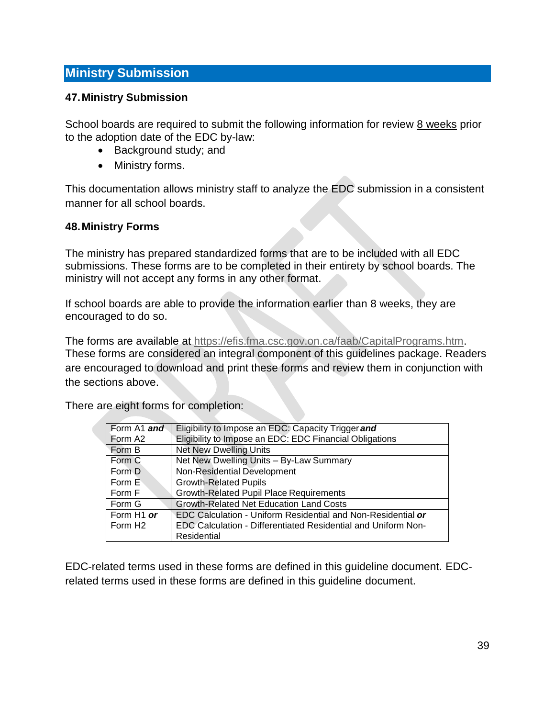## <span id="page-39-0"></span>**Ministry Submission**

#### <span id="page-39-1"></span>**47.Ministry Submission**

School boards are required to submit the following information for review 8 weeks prior to the adoption date of the EDC by-law:

- Background study; and
- Ministry forms.

This documentation allows ministry staff to analyze the EDC submission in a consistent manner for all school boards.

#### <span id="page-39-2"></span>**48.Ministry Forms**

The ministry has prepared standardized forms that are to be included with all EDC submissions. These forms are to be completed in their entirety by school boards. The ministry will not accept any forms in any other format.

If school boards are able to provide the information earlier than  $8$  weeks, they are encouraged to do so.

The forms are available at [https://efis.fma.csc.gov.on.ca/faab/CapitalPrograms.htm.](https://efis.fma.csc.gov.on.ca/faab/CapitalPrograms.htm) These forms are considered an integral component of this guidelines package. Readers are encouraged to download and print these forms and review them in conjunction with the sections above.

There are eight forms for completion:

| Form A1 and            | Eligibility to Impose an EDC: Capacity Trigger and            |
|------------------------|---------------------------------------------------------------|
| Form A <sub>2</sub>    | Eligibility to Impose an EDC: EDC Financial Obligations       |
| Form B                 | <b>Net New Dwelling Units</b>                                 |
| Form C                 | Net New Dwelling Units - By-Law Summary                       |
| Form D                 | Non-Residential Development                                   |
| Form E                 | <b>Growth-Related Pupils</b>                                  |
| Form F                 | Growth-Related Pupil Place Requirements                       |
| Form G                 | <b>Growth-Related Net Education Land Costs</b>                |
| Form H <sub>1</sub> or | EDC Calculation - Uniform Residential and Non-Residential or  |
| Form H <sub>2</sub>    | EDC Calculation - Differentiated Residential and Uniform Non- |
|                        | Residential                                                   |

EDC-related terms used in these forms are defined in this guideline document. EDCrelated terms used in these forms are defined in this guideline document.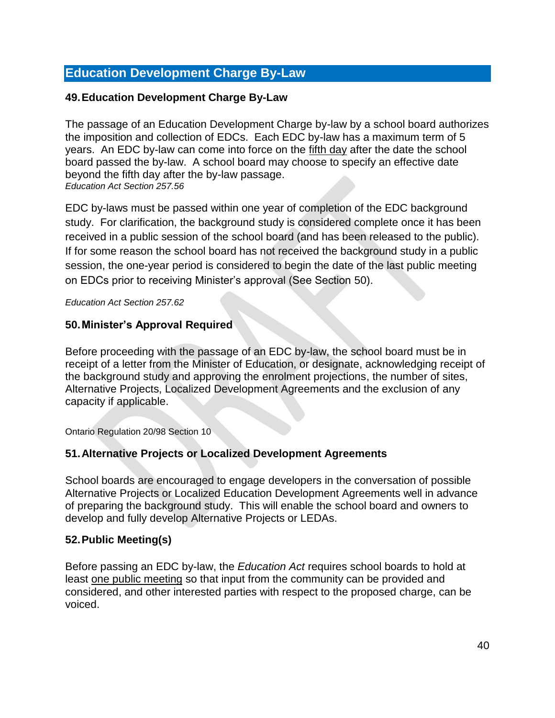# <span id="page-40-0"></span>**Education Development Charge By-Law**

#### <span id="page-40-1"></span>**49.Education Development Charge By-Law**

The passage of an Education Development Charge by-law by a school board authorizes the imposition and collection of EDCs. Each EDC by-law has a maximum term of 5 years. An EDC by-law can come into force on the fifth day after the date the school board passed the by-law. A school board may choose to specify an effective date beyond the fifth day after the by-law passage. *Education Act Section 257.56*

EDC by-laws must be passed within one year of completion of the EDC background study. For clarification, the background study is considered complete once it has been received in a public session of the school board (and has been released to the public). If for some reason the school board has not received the background study in a public session, the one-year period is considered to begin the date of the last public meeting on EDCs prior to receiving Minister's approval (See Section 50).

*Education Act Section 257.62*

#### <span id="page-40-2"></span>**50.Minister's Approval Required**

Before proceeding with the passage of an EDC by-law, the school board must be in receipt of a letter from the Minister of Education, or designate, acknowledging receipt of the background study and approving the enrolment projections, the number of sites, Alternative Projects, Localized Development Agreements and the exclusion of any capacity if applicable.

Ontario Regulation 20/98 Section 10

### <span id="page-40-3"></span>**51.Alternative Projects or Localized Development Agreements**

School boards are encouraged to engage developers in the conversation of possible Alternative Projects or Localized Education Development Agreements well in advance of preparing the background study. This will enable the school board and owners to develop and fully develop Alternative Projects or LEDAs.

#### <span id="page-40-4"></span>**52.Public Meeting(s)**

Before passing an EDC by-law, the *Education Act* requires school boards to hold at least one public meeting so that input from the community can be provided and considered, and other interested parties with respect to the proposed charge, can be voiced.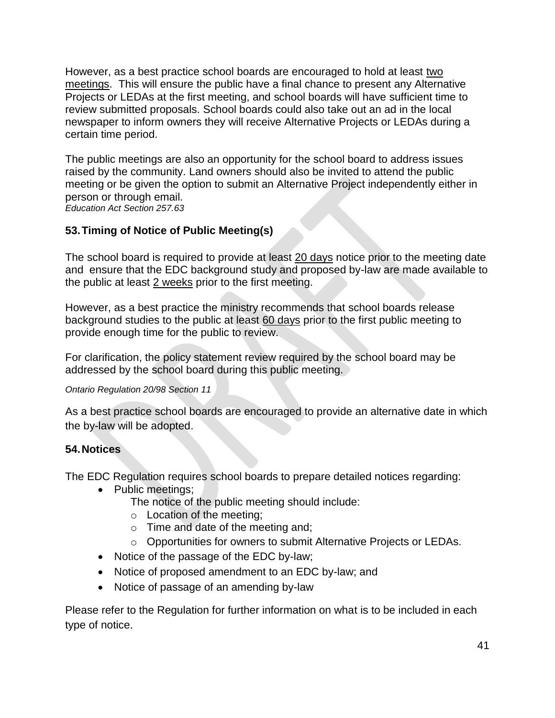However, as a best practice school boards are encouraged to hold at least two meetings. This will ensure the public have a final chance to present any Alternative Projects or LEDAs at the first meeting, and school boards will have sufficient time to review submitted proposals. School boards could also take out an ad in the local newspaper to inform owners they will receive Alternative Projects or LEDAs during a certain time period.

The public meetings are also an opportunity for the school board to address issues raised by the community. Land owners should also be invited to attend the public meeting or be given the option to submit an Alternative Project independently either in person or through email. *Education Act Section 257.63*

<span id="page-41-0"></span>**53.Timing of Notice of Public Meeting(s)**

The school board is required to provide at least 20 days notice prior to the meeting date and ensure that the EDC background study and proposed by-law are made available to the public at least 2 weeks prior to the first meeting.

However, as a best practice the ministry recommends that school boards release background studies to the public at least 60 days prior to the first public meeting to provide enough time for the public to review.

For clarification, the policy statement review required by the school board may be addressed by the school board during this public meeting.

#### *Ontario Regulation 20/98 Section 11*

As a best practice school boards are encouraged to provide an alternative date in which the by-law will be adopted.

### <span id="page-41-1"></span>**54.Notices**

The EDC Regulation requires school boards to prepare detailed notices regarding:

- Public meetings:
	- The notice of the public meeting should include:
	- o Location of the meeting;
	- o Time and date of the meeting and;
	- o Opportunities for owners to submit Alternative Projects or LEDAs.
- Notice of the passage of the EDC by-law;
- Notice of proposed amendment to an EDC by-law; and
- Notice of passage of an amending by-law

Please refer to the Regulation for further information on what is to be included in each type of notice.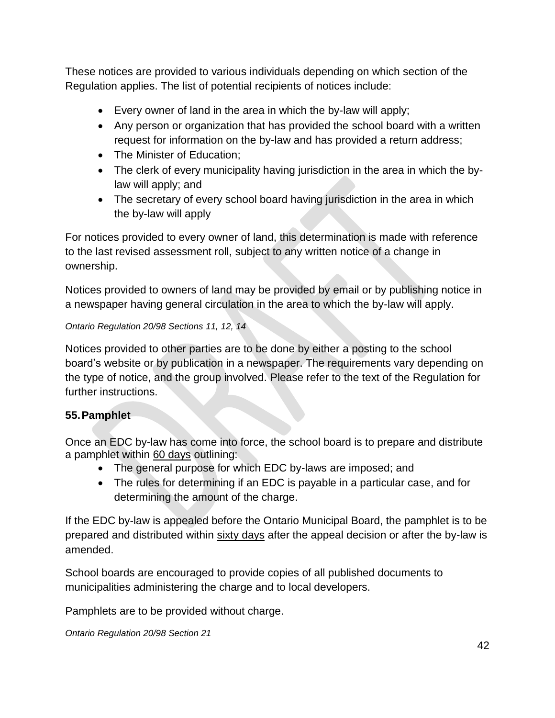These notices are provided to various individuals depending on which section of the Regulation applies. The list of potential recipients of notices include:

- Every owner of land in the area in which the by-law will apply;
- Any person or organization that has provided the school board with a written request for information on the by-law and has provided a return address;
- The Minister of Education;
- The clerk of every municipality having jurisdiction in the area in which the bylaw will apply; and
- The secretary of every school board having jurisdiction in the area in which the by-law will apply

For notices provided to every owner of land, this determination is made with reference to the last revised assessment roll, subject to any written notice of a change in ownership.

Notices provided to owners of land may be provided by email or by publishing notice in a newspaper having general circulation in the area to which the by-law will apply.

#### *Ontario Regulation 20/98 Sections 11, 12, 14*

Notices provided to other parties are to be done by either a posting to the school board's website or by publication in a newspaper. The requirements vary depending on the type of notice, and the group involved. Please refer to the text of the Regulation for further instructions.

### <span id="page-42-0"></span>**55.Pamphlet**

Once an EDC by-law has come into force, the school board is to prepare and distribute a pamphlet within 60 days outlining:

- The general purpose for which EDC by-laws are imposed; and
- The rules for determining if an EDC is payable in a particular case, and for determining the amount of the charge.

If the EDC by-law is appealed before the Ontario Municipal Board, the pamphlet is to be prepared and distributed within sixty days after the appeal decision or after the by-law is amended.

School boards are encouraged to provide copies of all published documents to municipalities administering the charge and to local developers.

Pamphlets are to be provided without charge.

*Ontario Regulation 20/98 Section 21*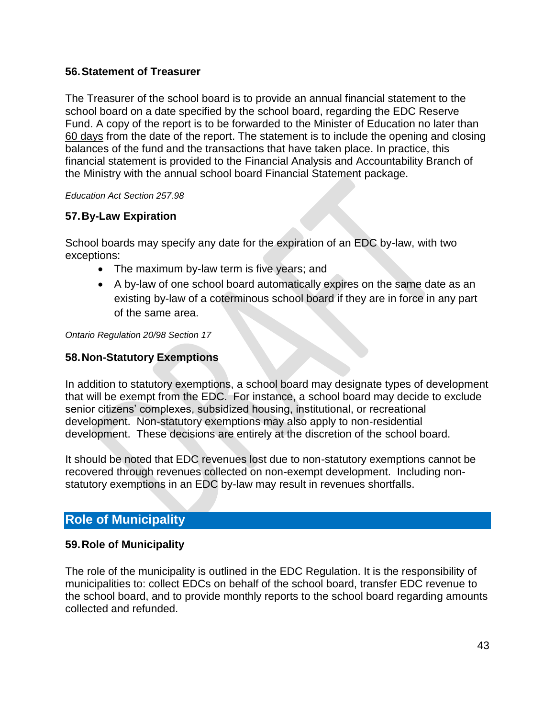### <span id="page-43-0"></span>**56.Statement of Treasurer**

The Treasurer of the school board is to provide an annual financial statement to the school board on a date specified by the school board, regarding the EDC Reserve Fund. A copy of the report is to be forwarded to the Minister of Education no later than 60 days from the date of the report. The statement is to include the opening and closing balances of the fund and the transactions that have taken place. In practice, this financial statement is provided to the Financial Analysis and Accountability Branch of the Ministry with the annual school board Financial Statement package.

*Education Act Section 257.98*

### <span id="page-43-1"></span>**57.By-Law Expiration**

School boards may specify any date for the expiration of an EDC by-law, with two exceptions:

- The maximum by-law term is five years; and
- A by-law of one school board automatically expires on the same date as an existing by-law of a coterminous school board if they are in force in any part of the same area.

*Ontario Regulation 20/98 Section 17*

#### <span id="page-43-2"></span>**58.Non-Statutory Exemptions**

In addition to statutory exemptions, a school board may designate types of development that will be exempt from the EDC. For instance, a school board may decide to exclude senior citizens' complexes, subsidized housing, institutional, or recreational development. Non-statutory exemptions may also apply to non-residential development. These decisions are entirely at the discretion of the school board.

It should be noted that EDC revenues lost due to non-statutory exemptions cannot be recovered through revenues collected on non-exempt development. Including nonstatutory exemptions in an EDC by-law may result in revenues shortfalls.

# <span id="page-43-3"></span>**Role of Municipality**

#### <span id="page-43-4"></span>**59.Role of Municipality**

The role of the municipality is outlined in the EDC Regulation. It is the responsibility of municipalities to: collect EDCs on behalf of the school board, transfer EDC revenue to the school board, and to provide monthly reports to the school board regarding amounts collected and refunded.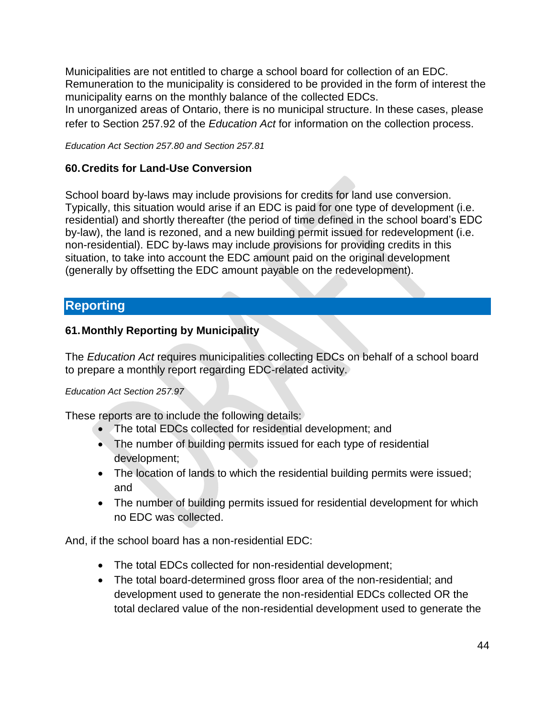Municipalities are not entitled to charge a school board for collection of an EDC. Remuneration to the municipality is considered to be provided in the form of interest the municipality earns on the monthly balance of the collected EDCs.

In unorganized areas of Ontario, there is no municipal structure. In these cases, please refer to Section 257.92 of the *Education Act* for information on the collection process.

*Education Act Section 257.80 and Section 257.81*

#### <span id="page-44-0"></span>**60.Credits for Land-Use Conversion**

School board by-laws may include provisions for credits for land use conversion. Typically, this situation would arise if an EDC is paid for one type of development (i.e. residential) and shortly thereafter (the period of time defined in the school board's EDC by-law), the land is rezoned, and a new building permit issued for redevelopment (i.e. non-residential). EDC by-laws may include provisions for providing credits in this situation, to take into account the EDC amount paid on the original development (generally by offsetting the EDC amount payable on the redevelopment).

# <span id="page-44-1"></span>**Reporting**

#### <span id="page-44-2"></span>**61.Monthly Reporting by Municipality**

The *Education Act* requires municipalities collecting EDCs on behalf of a school board to prepare a monthly report regarding EDC-related activity.

#### *Education Act Section 257.97*

These reports are to include the following details:

- The total EDCs collected for residential development; and
- The number of building permits issued for each type of residential development;
- The location of lands to which the residential building permits were issued; and
- The number of building permits issued for residential development for which no EDC was collected.

And, if the school board has a non-residential EDC:

- The total EDCs collected for non-residential development;
- The total board-determined gross floor area of the non-residential; and development used to generate the non-residential EDCs collected OR the total declared value of the non-residential development used to generate the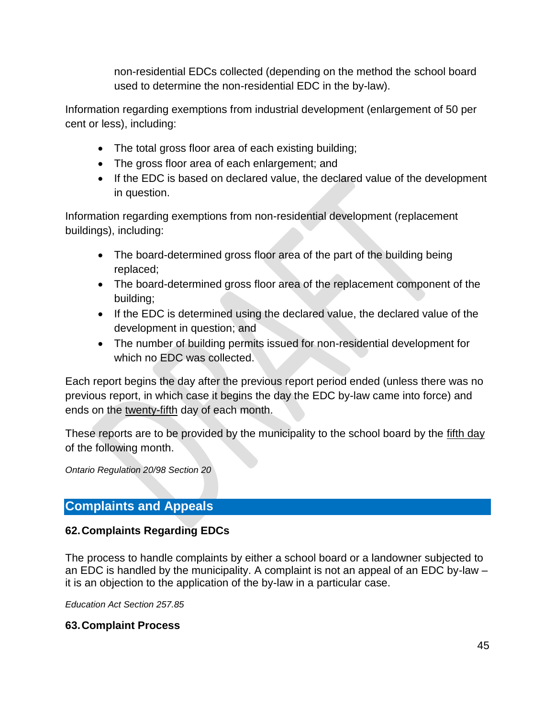non-residential EDCs collected (depending on the method the school board used to determine the non-residential EDC in the by-law).

Information regarding exemptions from industrial development (enlargement of 50 per cent or less), including:

- The total gross floor area of each existing building;
- The gross floor area of each enlargement; and
- If the EDC is based on declared value, the declared value of the development in question.

Information regarding exemptions from non-residential development (replacement buildings), including:

- The board-determined gross floor area of the part of the building being replaced;
- The board-determined gross floor area of the replacement component of the building;
- If the EDC is determined using the declared value, the declared value of the development in question; and
- The number of building permits issued for non-residential development for which no EDC was collected.

Each report begins the day after the previous report period ended (unless there was no previous report, in which case it begins the day the EDC by-law came into force) and ends on the twenty-fifth day of each month.

These reports are to be provided by the municipality to the school board by the fifth day of the following month.

*Ontario Regulation 20/98 Section 20*

# <span id="page-45-0"></span>**Complaints and Appeals**

# <span id="page-45-1"></span>**62.Complaints Regarding EDCs**

The process to handle complaints by either a school board or a landowner subjected to an EDC is handled by the municipality. A complaint is not an appeal of an EDC by-law – it is an objection to the application of the by-law in a particular case.

*Education Act Section 257.85*

### <span id="page-45-2"></span>**63.Complaint Process**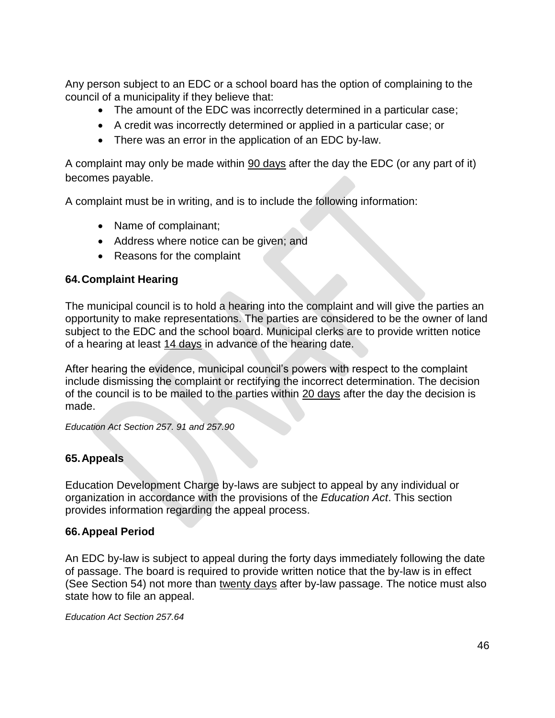Any person subject to an EDC or a school board has the option of complaining to the council of a municipality if they believe that:

- The amount of the EDC was incorrectly determined in a particular case;
- A credit was incorrectly determined or applied in a particular case; or
- There was an error in the application of an EDC by-law.

A complaint may only be made within 90 days after the day the EDC (or any part of it) becomes payable.

A complaint must be in writing, and is to include the following information:

- Name of complainant;
- Address where notice can be given; and
- Reasons for the complaint

### <span id="page-46-0"></span>**64.Complaint Hearing**

The municipal council is to hold a hearing into the complaint and will give the parties an opportunity to make representations. The parties are considered to be the owner of land subject to the EDC and the school board. Municipal clerks are to provide written notice of a hearing at least 14 days in advance of the hearing date.

After hearing the evidence, municipal council's powers with respect to the complaint include dismissing the complaint or rectifying the incorrect determination. The decision of the council is to be mailed to the parties within 20 days after the day the decision is made.

*Education Act Section 257. 91 and 257.90*

# <span id="page-46-1"></span>**65.Appeals**

Education Development Charge by-laws are subject to appeal by any individual or organization in accordance with the provisions of the *Education Act*. This section provides information regarding the appeal process.

### <span id="page-46-2"></span>**66.Appeal Period**

An EDC by-law is subject to appeal during the forty days immediately following the date of passage. The board is required to provide written notice that the by-law is in effect (See Section 54) not more than twenty days after by-law passage. The notice must also state how to file an appeal.

*Education Act Section 257.64*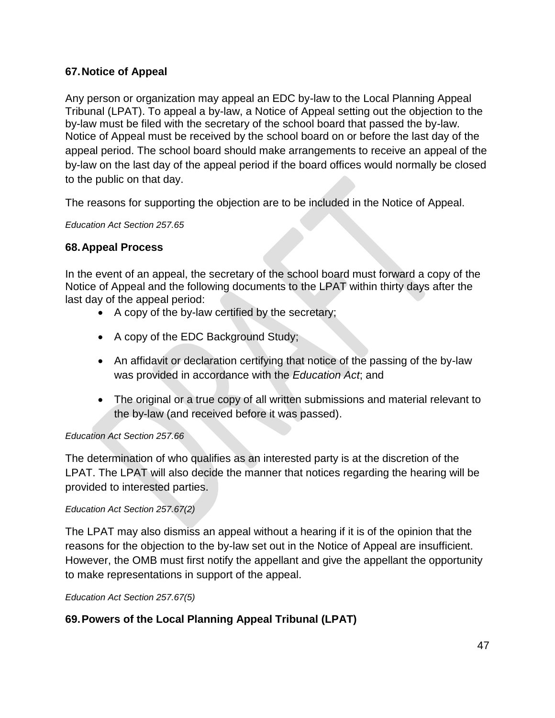### <span id="page-47-0"></span>**67.Notice of Appeal**

Any person or organization may appeal an EDC by-law to the Local Planning Appeal Tribunal (LPAT). To appeal a by-law, a Notice of Appeal setting out the objection to the by-law must be filed with the secretary of the school board that passed the by-law. Notice of Appeal must be received by the school board on or before the last day of the appeal period. The school board should make arrangements to receive an appeal of the by-law on the last day of the appeal period if the board offices would normally be closed to the public on that day.

The reasons for supporting the objection are to be included in the Notice of Appeal.

*Education Act Section 257.65*

#### <span id="page-47-1"></span>**68.Appeal Process**

In the event of an appeal, the secretary of the school board must forward a copy of the Notice of Appeal and the following documents to the LPAT within thirty days after the last day of the appeal period:

- A copy of the by-law certified by the secretary;
- A copy of the EDC Background Study;
- An affidavit or declaration certifying that notice of the passing of the by-law was provided in accordance with the *Education Act*; and
- The original or a true copy of all written submissions and material relevant to the by-law (and received before it was passed).

#### *Education Act Section 257.66*

The determination of who qualifies as an interested party is at the discretion of the LPAT. The LPAT will also decide the manner that notices regarding the hearing will be provided to interested parties.

#### *Education Act Section 257.67(2)*

The LPAT may also dismiss an appeal without a hearing if it is of the opinion that the reasons for the objection to the by-law set out in the Notice of Appeal are insufficient. However, the OMB must first notify the appellant and give the appellant the opportunity to make representations in support of the appeal.

*Education Act Section 257.67(5)*

### <span id="page-47-2"></span>**69.Powers of the Local Planning Appeal Tribunal (LPAT)**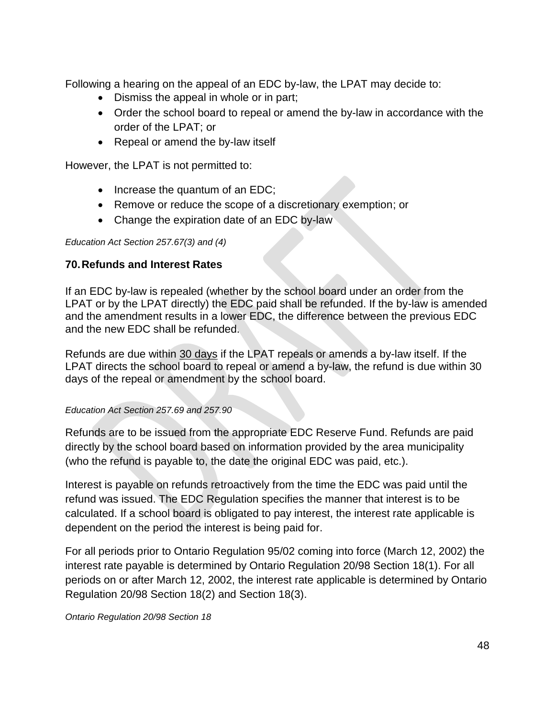Following a hearing on the appeal of an EDC by-law, the LPAT may decide to:

- Dismiss the appeal in whole or in part;
- Order the school board to repeal or amend the by-law in accordance with the order of the LPAT; or
- Repeal or amend the by-law itself

However, the LPAT is not permitted to:

- Increase the quantum of an EDC;
- Remove or reduce the scope of a discretionary exemption; or
- Change the expiration date of an EDC by-law

#### *Education Act Section 257.67(3) and (4)*

#### <span id="page-48-0"></span>**70.Refunds and Interest Rates**

If an EDC by-law is repealed (whether by the school board under an order from the LPAT or by the LPAT directly) the EDC paid shall be refunded. If the by-law is amended and the amendment results in a lower EDC, the difference between the previous EDC and the new EDC shall be refunded.

Refunds are due within 30 days if the LPAT repeals or amends a by-law itself. If the LPAT directs the school board to repeal or amend a by-law, the refund is due within 30 days of the repeal or amendment by the school board.

#### *Education Act Section 257.69 and 257.90*

Refunds are to be issued from the appropriate EDC Reserve Fund. Refunds are paid directly by the school board based on information provided by the area municipality (who the refund is payable to, the date the original EDC was paid, etc.).

Interest is payable on refunds retroactively from the time the EDC was paid until the refund was issued. The EDC Regulation specifies the manner that interest is to be calculated. If a school board is obligated to pay interest, the interest rate applicable is dependent on the period the interest is being paid for.

For all periods prior to Ontario Regulation 95/02 coming into force (March 12, 2002) the interest rate payable is determined by Ontario Regulation 20/98 Section 18(1). For all periods on or after March 12, 2002, the interest rate applicable is determined by Ontario Regulation 20/98 Section 18(2) and Section 18(3).

*Ontario Regulation 20/98 Section 18*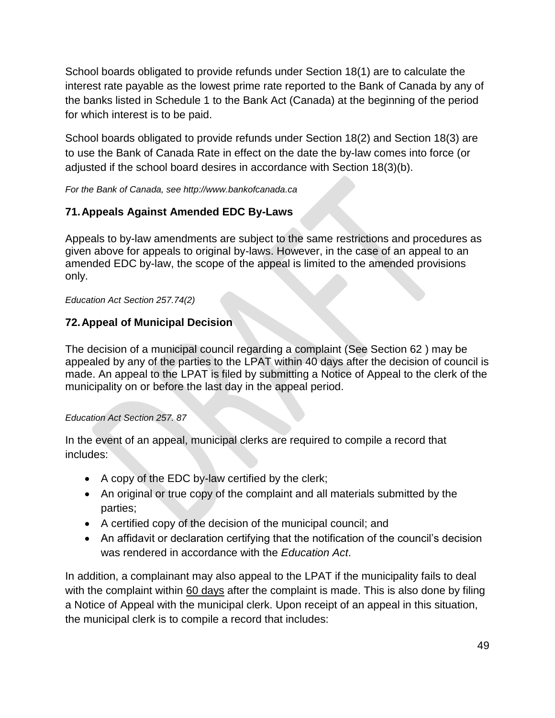School boards obligated to provide refunds under Section 18(1) are to calculate the interest rate payable as the lowest prime rate reported to the Bank of Canada by any of the banks listed in Schedule 1 to the Bank Act (Canada) at the beginning of the period for which interest is to be paid.

School boards obligated to provide refunds under Section 18(2) and Section 18(3) are to use the Bank of Canada Rate in effect on the date the by-law comes into force (or adjusted if the school board desires in accordance with Section 18(3)(b).

*For the Bank of Canada, see http://www.bankofcanada.ca*

# <span id="page-49-0"></span>**71.Appeals Against Amended EDC By-Laws**

Appeals to by-law amendments are subject to the same restrictions and procedures as given above for appeals to original by-laws. However, in the case of an appeal to an amended EDC by-law, the scope of the appeal is limited to the amended provisions only.

*Education Act Section 257.74(2)*

# <span id="page-49-1"></span>**72.Appeal of Municipal Decision**

The decision of a municipal council regarding a complaint (See Section 62 ) may be appealed by any of the parties to the LPAT within 40 days after the decision of council is made. An appeal to the LPAT is filed by submitting a Notice of Appeal to the clerk of the municipality on or before the last day in the appeal period.

### *Education Act Section 257. 87*

In the event of an appeal, municipal clerks are required to compile a record that includes:

- A copy of the EDC by-law certified by the clerk;
- An original or true copy of the complaint and all materials submitted by the parties;
- A certified copy of the decision of the municipal council; and
- An affidavit or declaration certifying that the notification of the council's decision was rendered in accordance with the *Education Act*.

In addition, a complainant may also appeal to the LPAT if the municipality fails to deal with the complaint within 60 days after the complaint is made. This is also done by filing a Notice of Appeal with the municipal clerk. Upon receipt of an appeal in this situation, the municipal clerk is to compile a record that includes: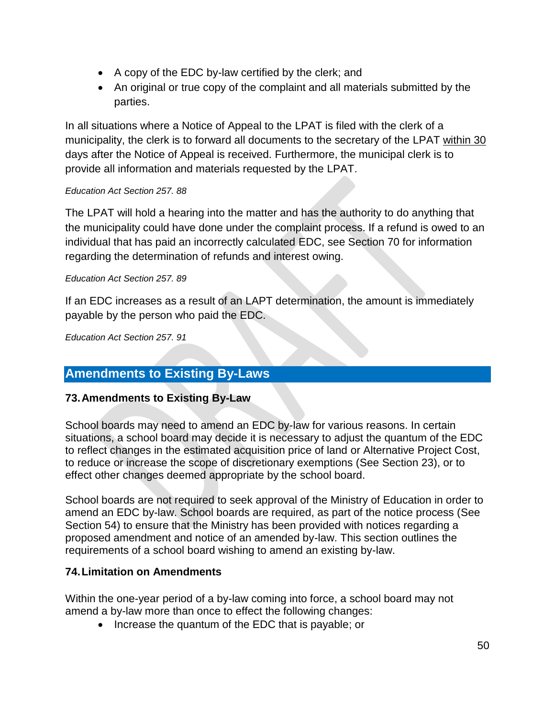- A copy of the EDC by-law certified by the clerk; and
- An original or true copy of the complaint and all materials submitted by the parties.

In all situations where a Notice of Appeal to the LPAT is filed with the clerk of a municipality, the clerk is to forward all documents to the secretary of the LPAT within 30 days after the Notice of Appeal is received. Furthermore, the municipal clerk is to provide all information and materials requested by the LPAT.

#### *Education Act Section 257. 88*

The LPAT will hold a hearing into the matter and has the authority to do anything that the municipality could have done under the complaint process. If a refund is owed to an individual that has paid an incorrectly calculated EDC, see Section 70 for information regarding the determination of refunds and interest owing.

#### *Education Act Section 257. 89*

If an EDC increases as a result of an LAPT determination, the amount is immediately payable by the person who paid the EDC.

*Education Act Section 257. 91*

# <span id="page-50-0"></span>**Amendments to Existing By-Laws**

### <span id="page-50-1"></span>**73.Amendments to Existing By-Law**

School boards may need to amend an EDC by-law for various reasons. In certain situations, a school board may decide it is necessary to adjust the quantum of the EDC to reflect changes in the estimated acquisition price of land or Alternative Project Cost, to reduce or increase the scope of discretionary exemptions (See Section 23), or to effect other changes deemed appropriate by the school board.

School boards are not required to seek approval of the Ministry of Education in order to amend an EDC by-law. School boards are required, as part of the notice process (See Section 54) to ensure that the Ministry has been provided with notices regarding a proposed amendment and notice of an amended by-law. This section outlines the requirements of a school board wishing to amend an existing by-law.

### <span id="page-50-2"></span>**74.Limitation on Amendments**

Within the one-year period of a by-law coming into force, a school board may not amend a by-law more than once to effect the following changes:

• Increase the quantum of the EDC that is payable; or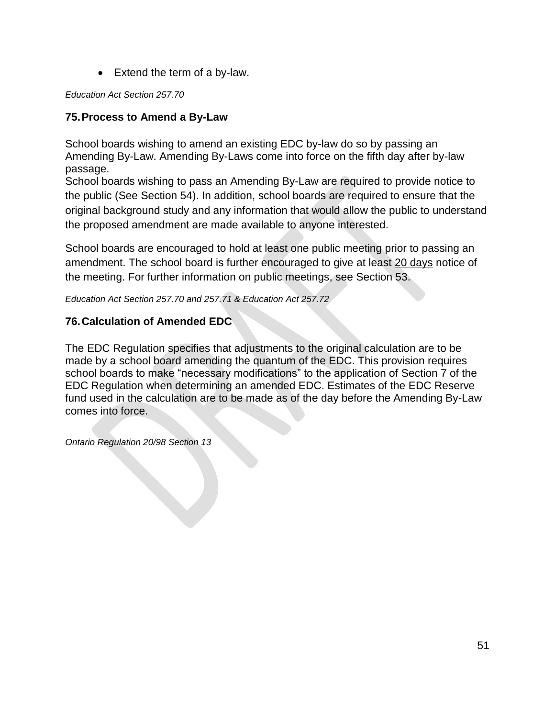• Extend the term of a by-law.

*Education Act Section 257.70*

## <span id="page-51-0"></span>**75.Process to Amend a By-Law**

School boards wishing to amend an existing EDC by-law do so by passing an Amending By-Law. Amending By-Laws come into force on the fifth day after by-law passage.

School boards wishing to pass an Amending By-Law are required to provide notice to the public (See Section 54). In addition, school boards are required to ensure that the original background study and any information that would allow the public to understand the proposed amendment are made available to anyone interested.

School boards are encouraged to hold at least one public meeting prior to passing an amendment. The school board is further encouraged to give at least 20 days notice of the meeting. For further information on public meetings, see Section 53.

*Education Act Section 257.70 and 257.71 & Education Act 257.72*

# <span id="page-51-1"></span>**76.Calculation of Amended EDC**

The EDC Regulation specifies that adjustments to the original calculation are to be made by a school board amending the quantum of the EDC. This provision requires school boards to make "necessary modifications" to the application of Section 7 of the EDC Regulation when determining an amended EDC. Estimates of the EDC Reserve fund used in the calculation are to be made as of the day before the Amending By-Law comes into force.

*Ontario Regulation 20/98 Section 13*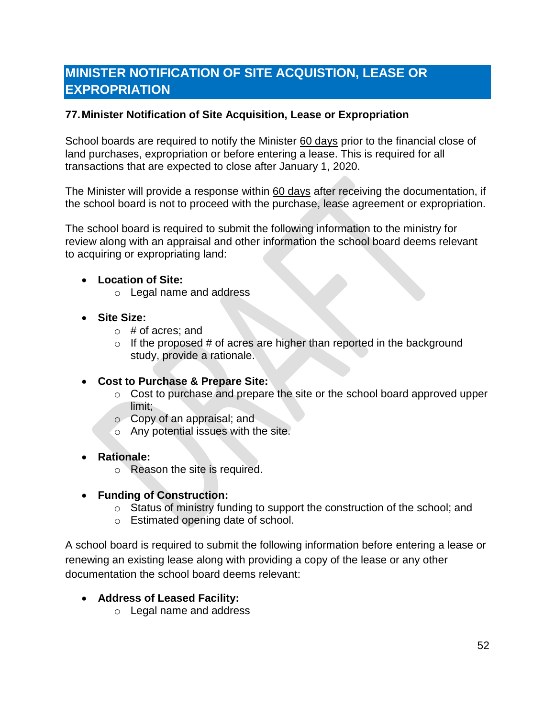# <span id="page-52-0"></span>**MINISTER NOTIFICATION OF SITE ACQUISTION, LEASE OR EXPROPRIATION**

### <span id="page-52-1"></span>**77.Minister Notification of Site Acquisition, Lease or Expropriation**

School boards are required to notify the Minister 60 days prior to the financial close of land purchases, expropriation or before entering a lease. This is required for all transactions that are expected to close after January 1, 2020.

The Minister will provide a response within 60 days after receiving the documentation, if the school board is not to proceed with the purchase, lease agreement or expropriation.

The school board is required to submit the following information to the ministry for review along with an appraisal and other information the school board deems relevant to acquiring or expropriating land:

#### • **Location of Site:**

- o Legal name and address
- **Site Size:** 
	- $\circ$  # of acres; and
	- $\circ$  If the proposed # of acres are higher than reported in the background study, provide a rationale.
- **Cost to Purchase & Prepare Site:** 
	- o Cost to purchase and prepare the site or the school board approved upper limit;
	- o Copy of an appraisal; and
	- o Any potential issues with the site.
- **Rationale:** 
	- o Reason the site is required.
- **Funding of Construction:** 
	- o Status of ministry funding to support the construction of the school; and
	- o Estimated opening date of school.

A school board is required to submit the following information before entering a lease or renewing an existing lease along with providing a copy of the lease or any other documentation the school board deems relevant:

- **Address of Leased Facility:**
	- o Legal name and address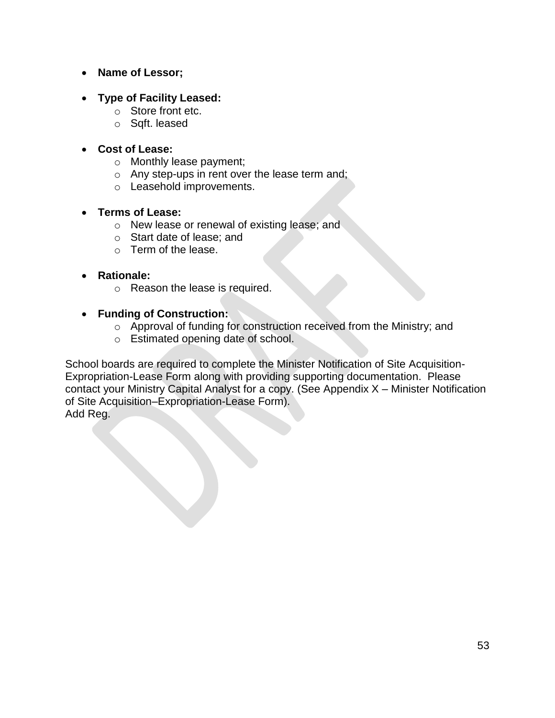- **Name of Lessor;**
- **Type of Facility Leased:** 
	- o Store front etc.
	- o Sqft. leased
- **Cost of Lease:** 
	- o Monthly lease payment;
	- o Any step-ups in rent over the lease term and;
	- o Leasehold improvements.

#### • **Terms of Lease:**

- o New lease or renewal of existing lease; and
- o Start date of lease; and
- o Term of the lease.

#### • **Rationale:**

- o Reason the lease is required.
- **Funding of Construction:** 
	- o Approval of funding for construction received from the Ministry; and
	- o Estimated opening date of school.

School boards are required to complete the Minister Notification of Site Acquisition-Expropriation-Lease Form along with providing supporting documentation. Please contact your Ministry Capital Analyst for a copy. (See Appendix X – Minister Notification of Site Acquisition–Expropriation-Lease Form). Add Reg.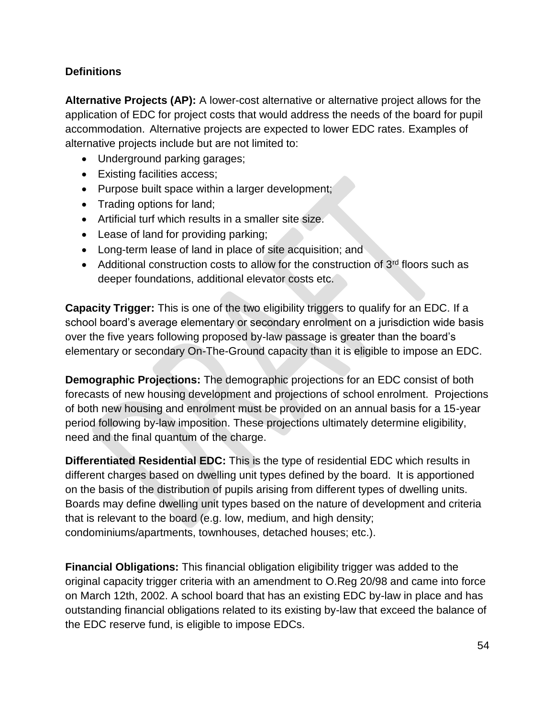# <span id="page-54-0"></span>**Definitions**

**Alternative Projects (AP):** A lower-cost alternative or alternative project allows for the application of EDC for project costs that would address the needs of the board for pupil accommodation. Alternative projects are expected to lower EDC rates. Examples of alternative projects include but are not limited to:

- Underground parking garages;
- Existing facilities access;
- Purpose built space within a larger development;
- Trading options for land;
- Artificial turf which results in a smaller site size.
- Lease of land for providing parking;
- Long-term lease of land in place of site acquisition; and
- Additional construction costs to allow for the construction of  $3<sup>rd</sup>$  floors such as deeper foundations, additional elevator costs etc.

**Capacity Trigger:** This is one of the two eligibility triggers to qualify for an EDC. If a school board's average elementary or secondary enrolment on a jurisdiction wide basis over the five years following proposed by-law passage is greater than the board's elementary or secondary On-The-Ground capacity than it is eligible to impose an EDC.

**Demographic Projections:** The demographic projections for an EDC consist of both forecasts of new housing development and projections of school enrolment. Projections of both new housing and enrolment must be provided on an annual basis for a 15-year period following by-law imposition. These projections ultimately determine eligibility, need and the final quantum of the charge.

**Differentiated Residential EDC:** This is the type of residential EDC which results in different charges based on dwelling unit types defined by the board. It is apportioned on the basis of the distribution of pupils arising from different types of dwelling units. Boards may define dwelling unit types based on the nature of development and criteria that is relevant to the board (e.g. low, medium, and high density; condominiums/apartments, townhouses, detached houses; etc.).

**Financial Obligations:** This financial obligation eligibility trigger was added to the original capacity trigger criteria with an amendment to O.Reg 20/98 and came into force on March 12th, 2002. A school board that has an existing EDC by-law in place and has outstanding financial obligations related to its existing by-law that exceed the balance of the EDC reserve fund, is eligible to impose EDCs.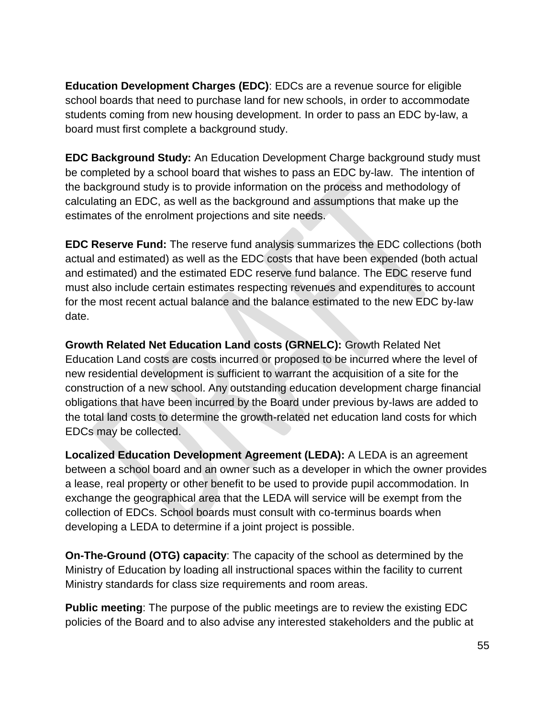**Education Development Charges (EDC)**: EDCs are a revenue source for eligible school boards that need to purchase land for new schools, in order to accommodate students coming from new housing development. In order to pass an EDC by-law, a board must first complete a background study.

**EDC Background Study:** An Education Development Charge background study must be completed by a school board that wishes to pass an EDC by-law. The intention of the background study is to provide information on the process and methodology of calculating an EDC, as well as the background and assumptions that make up the estimates of the enrolment projections and site needs.

**EDC Reserve Fund:** The reserve fund analysis summarizes the EDC collections (both actual and estimated) as well as the EDC costs that have been expended (both actual and estimated) and the estimated EDC reserve fund balance. The EDC reserve fund must also include certain estimates respecting revenues and expenditures to account for the most recent actual balance and the balance estimated to the new EDC by-law date.

**Growth Related Net Education Land costs (GRNELC):** Growth Related Net Education Land costs are costs incurred or proposed to be incurred where the level of new residential development is sufficient to warrant the acquisition of a site for the construction of a new school. Any outstanding education development charge financial obligations that have been incurred by the Board under previous by-laws are added to the total land costs to determine the growth-related net education land costs for which EDCs may be collected.

**Localized Education Development Agreement (LEDA):** A LEDA is an agreement between a school board and an owner such as a developer in which the owner provides a lease, real property or other benefit to be used to provide pupil accommodation. In exchange the geographical area that the LEDA will service will be exempt from the collection of EDCs. School boards must consult with co-terminus boards when developing a LEDA to determine if a joint project is possible.

**On-The-Ground (OTG) capacity**: The capacity of the school as determined by the Ministry of Education by loading all instructional spaces within the facility to current Ministry standards for class size requirements and room areas.

**Public meeting**: The purpose of the public meetings are to review the existing EDC policies of the Board and to also advise any interested stakeholders and the public at